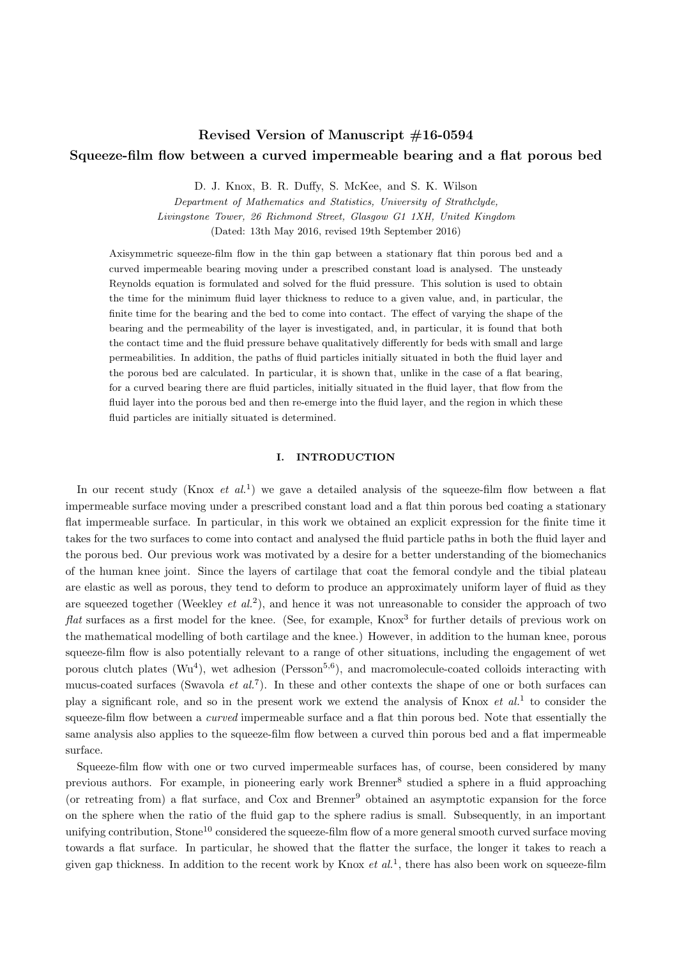# Revised Version of Manuscript #16-0594 Squeeze-film flow between a curved impermeable bearing and a flat porous bed

D. J. Knox, B. R. Duffy, S. McKee, and S. K. Wilson

Department of Mathematics and Statistics, University of Strathclyde, Livingstone Tower, 26 Richmond Street, Glasgow G1 1XH, United Kingdom

(Dated: 13th May 2016, revised 19th September 2016)

Axisymmetric squeeze-film flow in the thin gap between a stationary flat thin porous bed and a curved impermeable bearing moving under a prescribed constant load is analysed. The unsteady Reynolds equation is formulated and solved for the fluid pressure. This solution is used to obtain the time for the minimum fluid layer thickness to reduce to a given value, and, in particular, the finite time for the bearing and the bed to come into contact. The effect of varying the shape of the bearing and the permeability of the layer is investigated, and, in particular, it is found that both the contact time and the fluid pressure behave qualitatively differently for beds with small and large permeabilities. In addition, the paths of fluid particles initially situated in both the fluid layer and the porous bed are calculated. In particular, it is shown that, unlike in the case of a flat bearing, for a curved bearing there are fluid particles, initially situated in the fluid layer, that flow from the fluid layer into the porous bed and then re-emerge into the fluid layer, and the region in which these fluid particles are initially situated is determined.

# I. INTRODUCTION

In our recent study (Knox *et al.*<sup>1</sup>) we gave a detailed analysis of the squeeze-film flow between a flat impermeable surface moving under a prescribed constant load and a flat thin porous bed coating a stationary flat impermeable surface. In particular, in this work we obtained an explicit expression for the finite time it takes for the two surfaces to come into contact and analysed the fluid particle paths in both the fluid layer and the porous bed. Our previous work was motivated by a desire for a better understanding of the biomechanics of the human knee joint. Since the layers of cartilage that coat the femoral condyle and the tibial plateau are elastic as well as porous, they tend to deform to produce an approximately uniform layer of fluid as they are squeezed together (Weekley *et al.*<sup>2</sup>), and hence it was not unreasonable to consider the approach of two flat surfaces as a first model for the knee. (See, for example, Knox<sup>3</sup> for further details of previous work on the mathematical modelling of both cartilage and the knee.) However, in addition to the human knee, porous squeeze-film flow is also potentially relevant to a range of other situations, including the engagement of wet porous clutch plates ( $\text{Wu}^4$ ), wet adhesion (Persson<sup>5,6</sup>), and macromolecule-coated colloids interacting with mucus-coated surfaces (Swavola *et al.*<sup>7</sup>). In these and other contexts the shape of one or both surfaces can play a significant role, and so in the present work we extend the analysis of Knox *et al.*<sup>1</sup> to consider the squeeze-film flow between a *curved* impermeable surface and a flat thin porous bed. Note that essentially the same analysis also applies to the squeeze-film flow between a curved thin porous bed and a flat impermeable surface.

Squeeze-film flow with one or two curved impermeable surfaces has, of course, been considered by many previous authors. For example, in pioneering early work Brenner<sup>8</sup> studied a sphere in a fluid approaching (or retreating from) a flat surface, and Cox and Brenner<sup>9</sup> obtained an asymptotic expansion for the force on the sphere when the ratio of the fluid gap to the sphere radius is small. Subsequently, in an important unifying contribution, Stone<sup>10</sup> considered the squeeze-film flow of a more general smooth curved surface moving towards a flat surface. In particular, he showed that the flatter the surface, the longer it takes to reach a given gap thickness. In addition to the recent work by Knox  $et al.^1$ , there has also been work on squeeze-film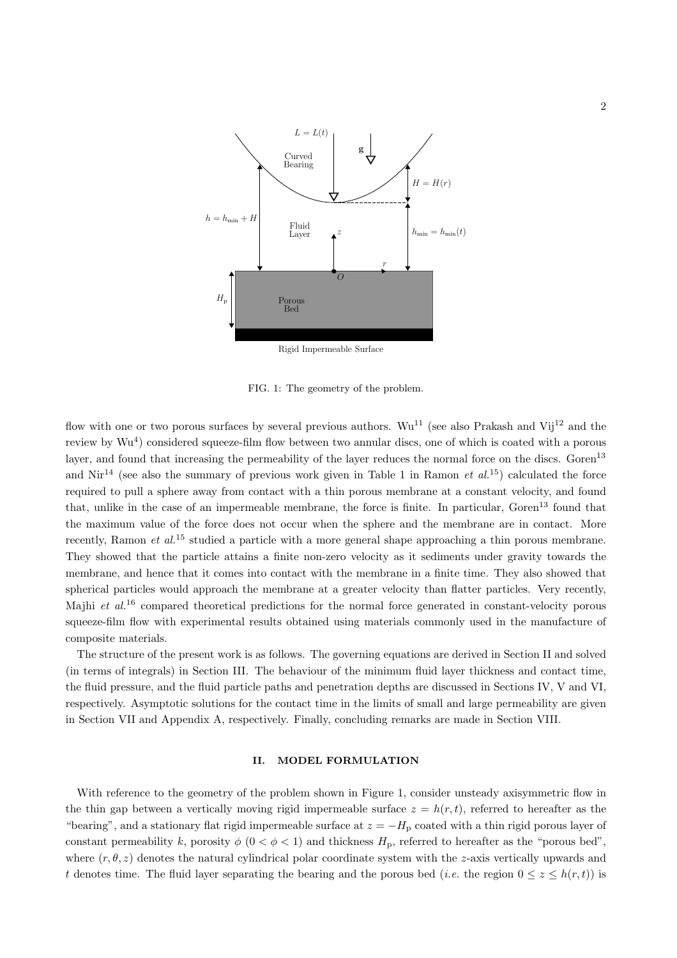

Rigid Impermeable Surface

FIG. 1: The geometry of the problem.

flow with one or two porous surfaces by several previous authors.  $Wu^{11}$  (see also Prakash and Vij<sup>12</sup> and the review by Wu<sup>4</sup>) considered squeeze-film flow between two annular discs, one of which is coated with a porous layer, and found that increasing the permeability of the layer reduces the normal force on the discs. Goren<sup>13</sup> and Nir<sup>14</sup> (see also the summary of previous work given in Table 1 in Ramon *et al.*<sup>15</sup>) calculated the force required to pull a sphere away from contact with a thin porous membrane at a constant velocity, and found that, unlike in the case of an impermeable membrane, the force is finite. In particular,  $Goren<sup>13</sup>$  found that the maximum value of the force does not occur when the sphere and the membrane are in contact. More recently, Ramon *et al.*<sup>15</sup> studied a particle with a more general shape approaching a thin porous membrane. They showed that the particle attains a finite non-zero velocity as it sediments under gravity towards the membrane, and hence that it comes into contact with the membrane in a finite time. They also showed that spherical particles would approach the membrane at a greater velocity than flatter particles. Very recently, Majhi et  $al^{16}$  compared theoretical predictions for the normal force generated in constant-velocity porous squeeze-film flow with experimental results obtained using materials commonly used in the manufacture of composite materials.

The structure of the present work is as follows. The governing equations are derived in Section II and solved (in terms of integrals) in Section III. The behaviour of the minimum fluid layer thickness and contact time, the fluid pressure, and the fluid particle paths and penetration depths are discussed in Sections IV, V and VI, respectively. Asymptotic solutions for the contact time in the limits of small and large permeability are given in Section VII and Appendix A, respectively. Finally, concluding remarks are made in Section VIII.

# II. MODEL FORMULATION

With reference to the geometry of the problem shown in Figure 1, consider unsteady axisymmetric flow in the thin gap between a vertically moving rigid impermeable surface  $z = h(r, t)$ , referred to hereafter as the "bearing", and a stationary flat rigid impermeable surface at  $z = -H<sub>p</sub>$  coated with a thin rigid porous layer of constant permeability k, porosity  $\phi$  ( $0 < \phi < 1$ ) and thickness  $H_p$ , referred to hereafter as the "porous bed", where  $(r, \theta, z)$  denotes the natural cylindrical polar coordinate system with the z-axis vertically upwards and t denotes time. The fluid layer separating the bearing and the porous bed (*i.e.* the region  $0 \le z \le h(r,t)$ ) is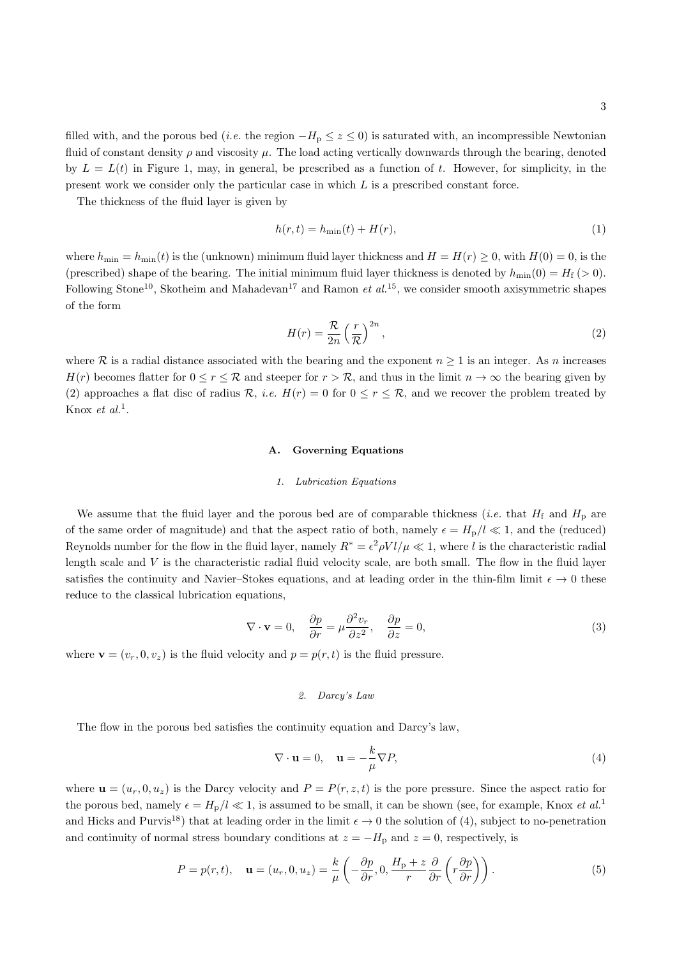filled with, and the porous bed (*i.e.* the region  $-H_p \leq z \leq 0$ ) is saturated with, an incompressible Newtonian fluid of constant density  $\rho$  and viscosity  $\mu$ . The load acting vertically downwards through the bearing, denoted by  $L = L(t)$  in Figure 1, may, in general, be prescribed as a function of t. However, for simplicity, in the present work we consider only the particular case in which  $L$  is a prescribed constant force.

The thickness of the fluid layer is given by

$$
h(r,t) = h_{\min}(t) + H(r),\tag{1}
$$

where  $h_{\min} = h_{\min}(t)$  is the (unknown) minimum fluid layer thickness and  $H = H(r) \ge 0$ , with  $H(0) = 0$ , is the (prescribed) shape of the bearing. The initial minimum fluid layer thickness is denoted by  $h_{\min}(0) = H_f (> 0)$ . Following Stone<sup>10</sup>, Skotheim and Mahadevan<sup>17</sup> and Ramon *et al.*<sup>15</sup>, we consider smooth axisymmetric shapes of the form

$$
H(r) = \frac{\mathcal{R}}{2n} \left(\frac{r}{\mathcal{R}}\right)^{2n},\tag{2}
$$

where R is a radial distance associated with the bearing and the exponent  $n \geq 1$  is an integer. As n increases  $H(r)$  becomes flatter for  $0 \leq r \leq \mathcal{R}$  and steeper for  $r > \mathcal{R}$ , and thus in the limit  $n \to \infty$  the bearing given by (2) approaches a flat disc of radius R, *i.e.*  $H(r) = 0$  for  $0 \leq r \leq R$ , and we recover the problem treated by Knox *et al.*<sup>1</sup>.

#### A. Governing Equations

#### 1. Lubrication Equations

We assume that the fluid layer and the porous bed are of comparable thickness (*i.e.* that  $H_f$  and  $H_p$  are of the same order of magnitude) and that the aspect ratio of both, namely  $\epsilon = H_p/l \ll 1$ , and the (reduced) Reynolds number for the flow in the fluid layer, namely  $R^* = \epsilon^2 \rho V l / \mu \ll 1$ , where l is the characteristic radial length scale and  $V$  is the characteristic radial fluid velocity scale, are both small. The flow in the fluid layer satisfies the continuity and Navier–Stokes equations, and at leading order in the thin-film limit  $\epsilon \to 0$  these reduce to the classical lubrication equations,

$$
\nabla \cdot \mathbf{v} = 0, \quad \frac{\partial p}{\partial r} = \mu \frac{\partial^2 v_r}{\partial z^2}, \quad \frac{\partial p}{\partial z} = 0,
$$
\n(3)

where  $\mathbf{v} = (v_r, 0, v_z)$  is the fluid velocity and  $p = p(r, t)$  is the fluid pressure.

#### 2. Darcy's Law

The flow in the porous bed satisfies the continuity equation and Darcy's law,

$$
\nabla \cdot \mathbf{u} = 0, \quad \mathbf{u} = -\frac{k}{\mu} \nabla P,\tag{4}
$$

where  $\mathbf{u} = (u_r, 0, u_z)$  is the Darcy velocity and  $P = P(r, z, t)$  is the pore pressure. Since the aspect ratio for the porous bed, namely  $\epsilon = H_p/l \ll 1$ , is assumed to be small, it can be shown (see, for example, Knox *et al.*<sup>1</sup> and Hicks and Purvis<sup>18</sup>) that at leading order in the limit  $\epsilon \to 0$  the solution of (4), subject to no-penetration and continuity of normal stress boundary conditions at  $z = -H<sub>p</sub>$  and  $z = 0$ , respectively, is

$$
P = p(r, t), \quad \mathbf{u} = (u_r, 0, u_z) = \frac{k}{\mu} \left( -\frac{\partial p}{\partial r}, 0, \frac{H_p + z}{r} \frac{\partial}{\partial r} \left( r \frac{\partial p}{\partial r} \right) \right).
$$
 (5)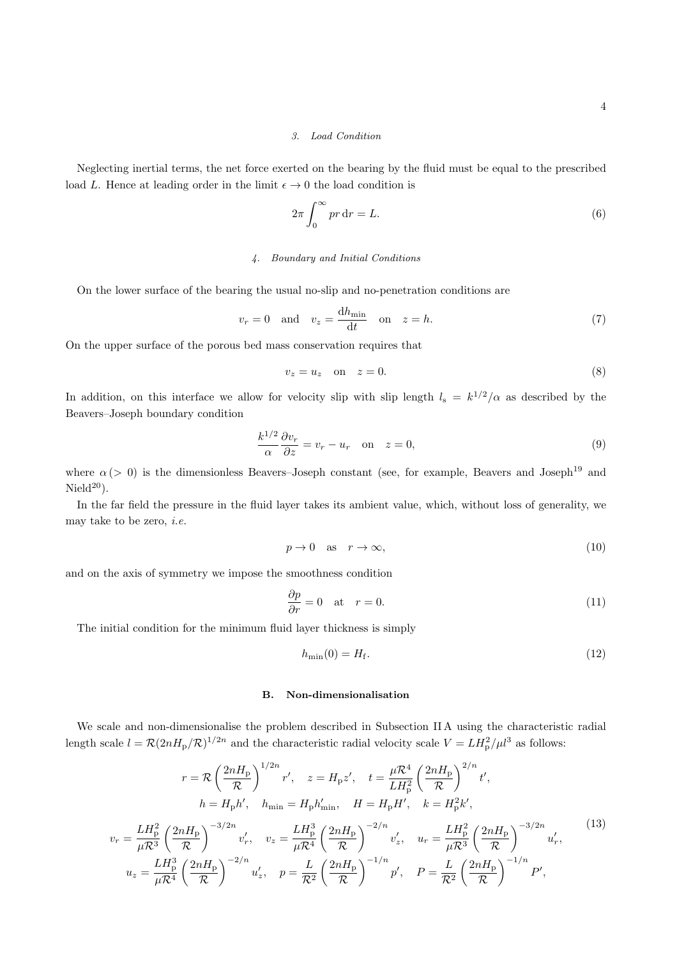## 3. Load Condition

Neglecting inertial terms, the net force exerted on the bearing by the fluid must be equal to the prescribed load L. Hence at leading order in the limit  $\epsilon \to 0$  the load condition is

$$
2\pi \int_0^\infty pr \, dr = L. \tag{6}
$$

# 4. Boundary and Initial Conditions

On the lower surface of the bearing the usual no-slip and no-penetration conditions are

$$
v_r = 0 \quad \text{and} \quad v_z = \frac{\mathrm{d}h_{\min}}{\mathrm{d}t} \quad \text{on} \quad z = h. \tag{7}
$$

On the upper surface of the porous bed mass conservation requires that

$$
v_z = u_z \quad \text{on} \quad z = 0. \tag{8}
$$

In addition, on this interface we allow for velocity slip with slip length  $l_s = k^{1/2}/\alpha$  as described by the Beavers–Joseph boundary condition

$$
\frac{k^{1/2}}{\alpha} \frac{\partial v_r}{\partial z} = v_r - u_r \quad \text{on} \quad z = 0,
$$
\n(9)

where  $\alpha$  (> 0) is the dimensionless Beavers–Joseph constant (see, for example, Beavers and Joseph<sup>19</sup> and  $Nield^{20}$ ).

In the far field the pressure in the fluid layer takes its ambient value, which, without loss of generality, we may take to be zero, *i.e.* 

$$
p \to 0 \quad \text{as} \quad r \to \infty,\tag{10}
$$

and on the axis of symmetry we impose the smoothness condition

$$
\frac{\partial p}{\partial r} = 0 \quad \text{at} \quad r = 0. \tag{11}
$$

The initial condition for the minimum fluid layer thickness is simply

$$
h_{\min}(0) = H_{\text{f}}.\tag{12}
$$

## B. Non-dimensionalisation

We scale and non-dimensionalise the problem described in Subsection II A using the characteristic radial length scale  $l = \mathcal{R}(2nH_p/\mathcal{R})^{1/2n}$  and the characteristic radial velocity scale  $V = LH_p^2/\mu l^3$  as follows:

$$
r = \mathcal{R} \left(\frac{2nH_{\rm p}}{\mathcal{R}}\right)^{1/2n} r', \quad z = H_{\rm p}z', \quad t = \frac{\mu \mathcal{R}^4}{LH_{\rm p}^2} \left(\frac{2nH_{\rm p}}{\mathcal{R}}\right)^{2/n} t',
$$
\n
$$
h = H_{\rm p}h', \quad h_{\rm min} = H_{\rm p}h'_{\rm min}, \quad H = H_{\rm p}H', \quad k = H_{\rm p}^2k',
$$
\n
$$
v_r = \frac{LH_{\rm p}^2}{\mu \mathcal{R}^3} \left(\frac{2nH_{\rm p}}{\mathcal{R}}\right)^{-3/2n} v'_r, \quad v_z = \frac{LH_{\rm p}^3}{\mu \mathcal{R}^4} \left(\frac{2nH_{\rm p}}{\mathcal{R}}\right)^{-2/n} v'_z, \quad u_r = \frac{LH_{\rm p}^2}{\mu \mathcal{R}^3} \left(\frac{2nH_{\rm p}}{\mathcal{R}}\right)^{-3/2n} u'_r,
$$
\n
$$
u_z = \frac{LH_{\rm p}^3}{\mu \mathcal{R}^4} \left(\frac{2nH_{\rm p}}{\mathcal{R}}\right)^{-2/n} u'_z, \quad p = \frac{L}{\mathcal{R}^2} \left(\frac{2nH_{\rm p}}{\mathcal{R}}\right)^{-1/n} p', \quad P = \frac{L}{\mathcal{R}^2} \left(\frac{2nH_{\rm p}}{\mathcal{R}}\right)^{-1/n} P',
$$
\n
$$
(13)
$$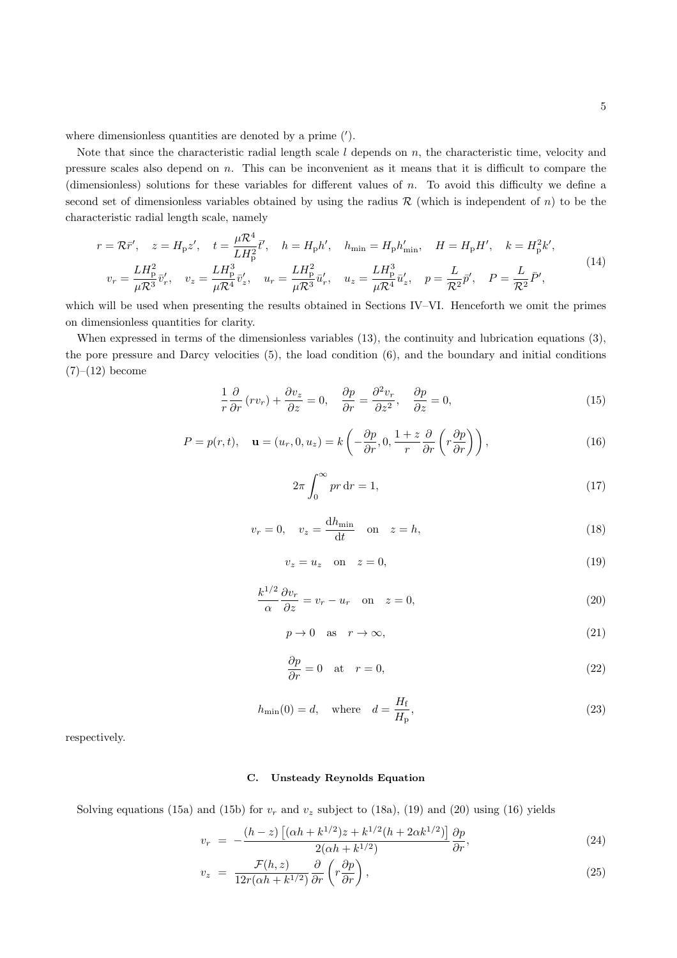where dimensionless quantities are denoted by a prime (').

Note that since the characteristic radial length scale  $l$  depends on  $n$ , the characteristic time, velocity and pressure scales also depend on n. This can be inconvenient as it means that it is difficult to compare the (dimensionless) solutions for these variables for different values of  $n$ . To avoid this difficulty we define a second set of dimensionless variables obtained by using the radius  $\mathcal R$  (which is independent of n) to be the characteristic radial length scale, namely

$$
r = \mathcal{R}\bar{r}', \quad z = H_{\rm p}z', \quad t = \frac{\mu \mathcal{R}^4}{L H_{\rm p}^2} \bar{t}', \quad h = H_{\rm p}h', \quad h_{\rm min} = H_{\rm p}h'_{\rm min}, \quad H = H_{\rm p}H', \quad k = H_{\rm p}^2k',
$$
  

$$
v_r = \frac{L H_{\rm p}^2}{\mu \mathcal{R}^3} \bar{v}'_r, \quad v_z = \frac{L H_{\rm p}^3}{\mu \mathcal{R}^4} \bar{v}'_z, \quad u_r = \frac{L H_{\rm p}^2}{\mu \mathcal{R}^3} \bar{u}'_r, \quad u_z = \frac{L H_{\rm p}^3}{\mu \mathcal{R}^4} \bar{u}'_z, \quad p = \frac{L}{\mathcal{R}^2} \bar{p}', \quad P = \frac{L}{\mathcal{R}^2} \bar{P}', \tag{14}
$$

which will be used when presenting the results obtained in Sections IV–VI. Henceforth we omit the primes on dimensionless quantities for clarity.

When expressed in terms of the dimensionless variables (13), the continuity and lubrication equations (3), the pore pressure and Darcy velocities (5), the load condition (6), and the boundary and initial conditions  $(7)–(12)$  become

$$
\frac{1}{r}\frac{\partial}{\partial r}(rv_r) + \frac{\partial v_z}{\partial z} = 0, \quad \frac{\partial p}{\partial r} = \frac{\partial^2 v_r}{\partial z^2}, \quad \frac{\partial p}{\partial z} = 0,
$$
\n(15)

$$
P = p(r, t), \quad \mathbf{u} = (u_r, 0, u_z) = k \left( -\frac{\partial p}{\partial r}, 0, \frac{1+z}{r} \frac{\partial}{\partial r} \left( r \frac{\partial p}{\partial r} \right) \right),\tag{16}
$$

$$
2\pi \int_0^\infty pr \, \mathrm{d}r = 1,\tag{17}
$$

$$
v_r = 0, \quad v_z = \frac{\mathrm{d}h_{\min}}{\mathrm{d}t} \quad \text{on} \quad z = h,\tag{18}
$$

$$
v_z = u_z \quad \text{on} \quad z = 0,\tag{19}
$$

$$
\frac{k^{1/2}}{\alpha} \frac{\partial v_r}{\partial z} = v_r - u_r \quad \text{on} \quad z = 0,
$$
\n(20)

$$
p \to 0 \quad \text{as} \quad r \to \infty,\tag{21}
$$

$$
\frac{\partial p}{\partial r} = 0 \quad \text{at} \quad r = 0,\tag{22}
$$

$$
h_{\min}(0) = d, \quad \text{where} \quad d = \frac{H_{\text{f}}}{H_{\text{p}}},\tag{23}
$$

respectively.

## C. Unsteady Reynolds Equation

Solving equations (15a) and (15b) for  $v_r$  and  $v_z$  subject to (18a), (19) and (20) using (16) yields

$$
v_r = -\frac{(h-z)\left[ (\alpha h + k^{1/2})z + k^{1/2}(h + 2\alpha k^{1/2}) \right]}{2(\alpha h + k^{1/2})} \frac{\partial p}{\partial r},\tag{24}
$$

$$
v_z = \frac{\mathcal{F}(h, z)}{12r(\alpha h + k^{1/2})} \frac{\partial}{\partial r} \left( r \frac{\partial p}{\partial r} \right),\tag{25}
$$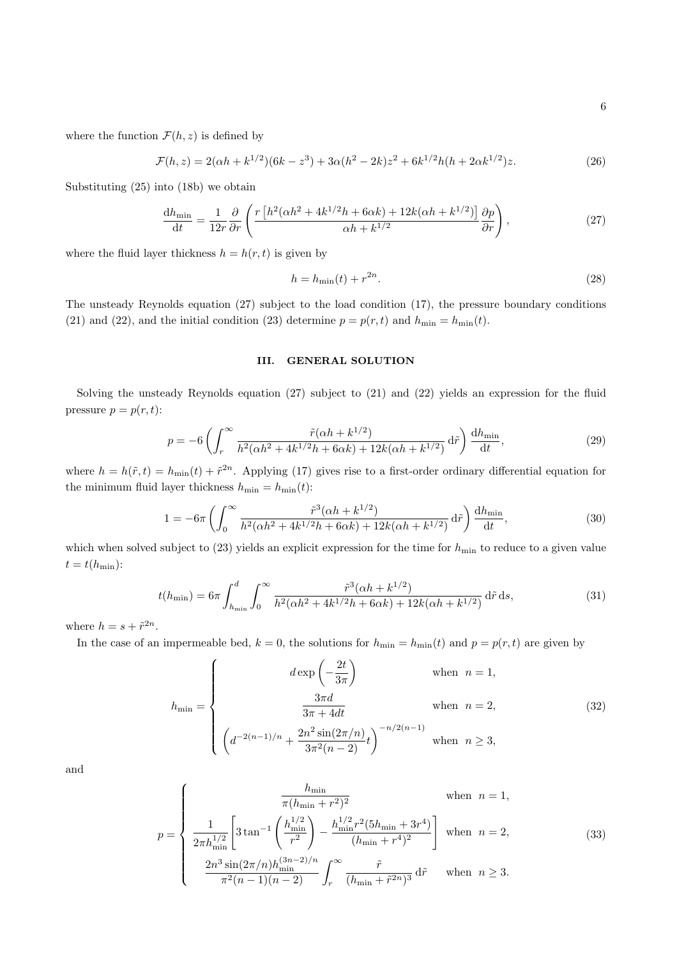where the function  $\mathcal{F}(h, z)$  is defined by

$$
\mathcal{F}(h,z) = 2(\alpha h + k^{1/2})(6k - z^3) + 3\alpha(h^2 - 2k)z^2 + 6k^{1/2}h(h + 2\alpha k^{1/2})z.
$$
 (26)

Substituting (25) into (18b) we obtain

$$
\frac{dh_{\min}}{dt} = \frac{1}{12r} \frac{\partial}{\partial r} \left( \frac{r \left[ h^2(\alpha h^2 + 4k^{1/2}h + 6\alpha k) + 12k(\alpha h + k^{1/2}) \right]}{\alpha h + k^{1/2}} \frac{\partial p}{\partial r} \right),\tag{27}
$$

where the fluid layer thickness  $h = h(r, t)$  is given by

$$
h = h_{\min}(t) + r^{2n}.\tag{28}
$$

The unsteady Reynolds equation (27) subject to the load condition (17), the pressure boundary conditions (21) and (22), and the initial condition (23) determine  $p = p(r, t)$  and  $h_{\min} = h_{\min}(t)$ .

## III. GENERAL SOLUTION

Solving the unsteady Reynolds equation (27) subject to (21) and (22) yields an expression for the fluid pressure  $p = p(r, t)$ :

$$
p = -6\left(\int_{r}^{\infty} \frac{\tilde{r}(\alpha h + k^{1/2})}{h^2(\alpha h^2 + 4k^{1/2}h + 6\alpha k) + 12k(\alpha h + k^{1/2})} d\tilde{r}\right) \frac{dh_{\min}}{dt},\tag{29}
$$

where  $h = h(\tilde{r}, t) = h_{\min}(t) + \tilde{r}^{2n}$ . Applying (17) gives rise to a first-order ordinary differential equation for the minimum fluid layer thickness  $h_{\min} = h_{\min}(t)$ :

$$
1 = -6\pi \left( \int_0^\infty \frac{\tilde{r}^3(\alpha h + k^{1/2})}{h^2(\alpha h^2 + 4k^{1/2}h + 6\alpha k) + 12k(\alpha h + k^{1/2})} d\tilde{r} \right) \frac{dh_{\min}}{dt},\tag{30}
$$

which when solved subject to (23) yields an explicit expression for the time for  $h_{\min}$  to reduce to a given value  $t = t(h_{\min})$ :

$$
t(h_{\min}) = 6\pi \int_{h_{\min}}^d \int_0^\infty \frac{\tilde{r}^3(\alpha h + k^{1/2})}{h^2(\alpha h^2 + 4k^{1/2}h + 6\alpha k) + 12k(\alpha h + k^{1/2})} d\tilde{r} ds,
$$
\n(31)

where  $h = s + \tilde{r}^{2n}$ .

In the case of an impermeable bed,  $k = 0$ , the solutions for  $h_{\min} = h_{\min}(t)$  and  $p = p(r, t)$  are given by

$$
h_{\min} = \begin{cases} d \exp\left(-\frac{2t}{3\pi}\right) & \text{when } n = 1, \\ \frac{3\pi d}{3\pi + 4dt} & \text{when } n = 2, \\ \left(d^{-2(n-1)/n} + \frac{2n^2 \sin(2\pi/n)}{3\pi^2(n-2)}t\right)^{-n/2(n-1)} & \text{when } n \ge 3, \end{cases}
$$
(32)

and

$$
p = \begin{cases} \n\frac{h_{\min}}{\pi (h_{\min} + r^2)^2} & \text{when } n = 1, \\
\frac{1}{2\pi h_{\min}^{1/2}} \left[ 3 \tan^{-1} \left( \frac{h_{\min}^{1/2}}{r^2} \right) - \frac{h_{\min}^{1/2} r^2 (5h_{\min} + 3r^4)}{(h_{\min} + r^4)^2} \right] & \text{when } n = 2, \\
\frac{2n^3 \sin(2\pi/n) h_{\min}^{(3n-2)/n}}{\pi^2 (n-1)(n-2)} \int_r^{\infty} \frac{\tilde{r}}{(h_{\min} + \tilde{r}^{2n})^3} d\tilde{r} & \text{when } n \ge 3.\n\end{cases}
$$
\n(33)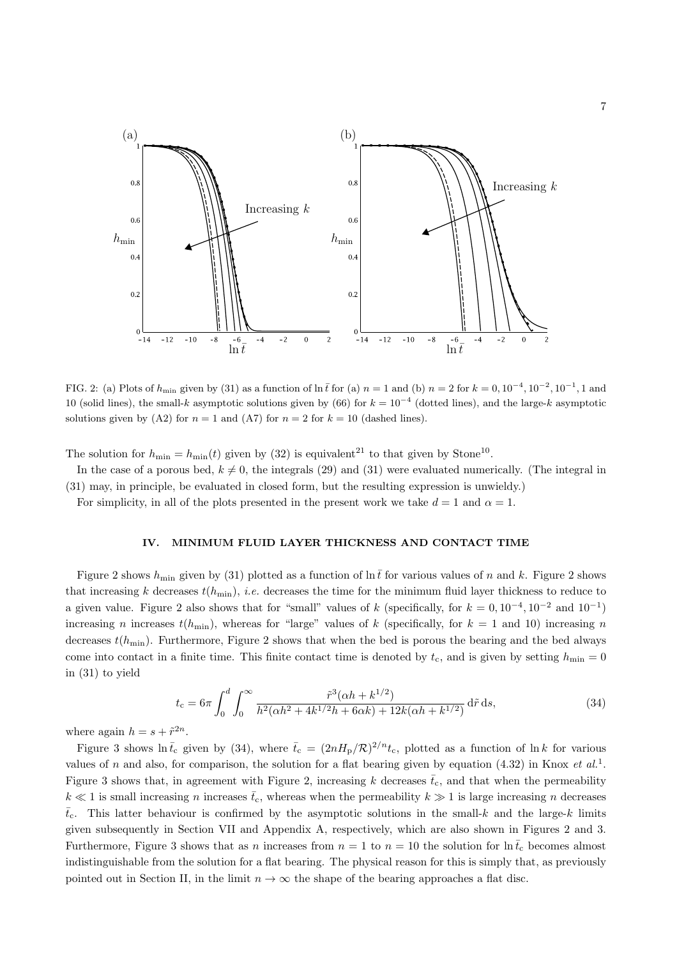

FIG. 2: (a) Plots of  $h_{\text{min}}$  given by (31) as a function of  $\ln \bar{t}$  for (a)  $n = 1$  and (b)  $n = 2$  for  $k = 0, 10^{-4}, 10^{-2}, 10^{-1}, 1$  and 10 (solid lines), the small-k asymptotic solutions given by (66) for  $k = 10^{-4}$  (dotted lines), and the large-k asymptotic solutions given by (A2) for  $n = 1$  and (A7) for  $n = 2$  for  $k = 10$  (dashed lines).

The solution for  $h_{\min} = h_{\min}(t)$  given by (32) is equivalent<sup>21</sup> to that given by Stone<sup>10</sup>.

In the case of a porous bed,  $k \neq 0$ , the integrals (29) and (31) were evaluated numerically. (The integral in (31) may, in principle, be evaluated in closed form, but the resulting expression is unwieldy.)

For simplicity, in all of the plots presented in the present work we take  $d = 1$  and  $\alpha = 1$ .

## IV. MINIMUM FLUID LAYER THICKNESS AND CONTACT TIME

Figure 2 shows  $h_{\text{min}}$  given by (31) plotted as a function of  $\ln \bar{t}$  for various values of n and k. Figure 2 shows that increasing k decreases  $t(h_{\min})$ , *i.e.* decreases the time for the minimum fluid layer thickness to reduce to a given value. Figure 2 also shows that for "small" values of k (specifically, for  $k = 0, 10^{-4}, 10^{-2}$  and  $10^{-1}$ ) increasing n increases  $t(h_{\min})$ , whereas for "large" values of k (specifically, for  $k = 1$  and 10) increasing n decreases  $t(h_{\min})$ . Furthermore, Figure 2 shows that when the bed is porous the bearing and the bed always come into contact in a finite time. This finite contact time is denoted by  $t_c$ , and is given by setting  $h_{\min} = 0$ in (31) to yield

$$
t_{\rm c} = 6\pi \int_0^d \int_0^\infty \frac{\tilde{r}^3(\alpha h + k^{1/2})}{h^2(\alpha h^2 + 4k^{1/2}h + 6\alpha k) + 12k(\alpha h + k^{1/2})} d\tilde{r} ds,
$$
\n(34)

where again  $h = s + \tilde{r}^{2n}$ .

Figure 3 shows  $\ln \bar{t}_c$  given by (34), where  $\bar{t}_c = (2nH_p/R)^{2/n} t_c$ , plotted as a function of  $\ln k$  for various values of n and also, for comparison, the solution for a flat bearing given by equation (4.32) in Knox et  $al.$ <sup>1</sup>. Figure 3 shows that, in agreement with Figure 2, increasing k decreases  $\bar{t}_{c}$ , and that when the permeability  $k \ll 1$  is small increasing n increases  $\bar{t}_{c}$ , whereas when the permeability  $k \gg 1$  is large increasing n decreases  $\bar{t}_{c}$ . This latter behaviour is confirmed by the asymptotic solutions in the small-k and the large-k limits given subsequently in Section VII and Appendix A, respectively, which are also shown in Figures 2 and 3. Furthermore, Figure 3 shows that as n increases from  $n = 1$  to  $n = 10$  the solution for  $\ln \bar{t}_{c}$  becomes almost indistinguishable from the solution for a flat bearing. The physical reason for this is simply that, as previously pointed out in Section II, in the limit  $n \to \infty$  the shape of the bearing approaches a flat disc.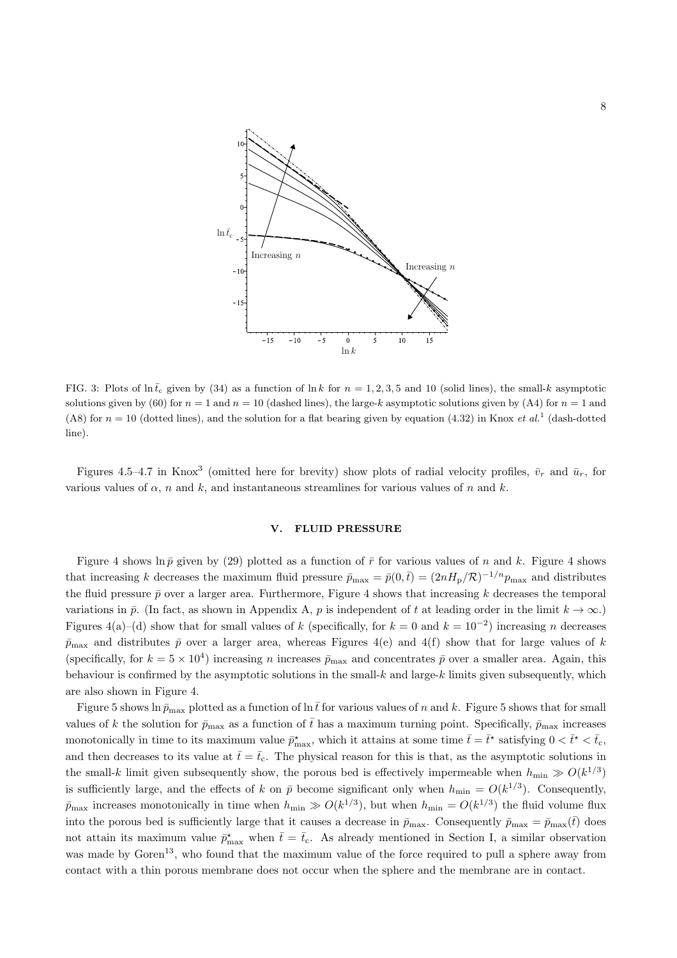

FIG. 3: Plots of  $\ln \bar{t}_c$  given by (34) as a function of  $\ln k$  for  $n = 1, 2, 3, 5$  and 10 (solid lines), the small-k asymptotic solutions given by (60) for  $n = 1$  and  $n = 10$  (dashed lines), the large-k asymptotic solutions given by (A4) for  $n = 1$  and (A8) for  $n = 10$  (dotted lines), and the solution for a flat bearing given by equation (4.32) in Knox *et al.*<sup>1</sup> (dash-dotted line).

Figures 4.5–4.7 in Knox<sup>3</sup> (omitted here for brevity) show plots of radial velocity profiles,  $\bar{v}_r$  and  $\bar{u}_r$ , for various values of  $\alpha$ , n and k, and instantaneous streamlines for various values of n and k.

# V. FLUID PRESSURE

Figure 4 shows  $\ln \bar{p}$  given by (29) plotted as a function of  $\bar{r}$  for various values of n and k. Figure 4 shows that increasing k decreases the maximum fluid pressure  $\bar{p}_{\text{max}} = \bar{p}(0,\bar{t}) = (2nH_{\text{p}}/\mathcal{R})^{-1/n}p_{\text{max}}$  and distributes the fluid pressure  $\bar{p}$  over a larger area. Furthermore, Figure 4 shows that increasing k decreases the temporal variations in  $\bar{p}$ . (In fact, as shown in Appendix A, p is independent of t at leading order in the limit  $k \to \infty$ .) Figures 4(a)–(d) show that for small values of k (specifically, for  $k = 0$  and  $k = 10^{-2}$ ) increasing n decreases  $\bar{p}_{\text{max}}$  and distributes  $\bar{p}$  over a larger area, whereas Figures 4(e) and 4(f) show that for large values of k (specifically, for  $k = 5 \times 10^4$ ) increasing *n* increases  $\bar{p}_{\text{max}}$  and concentrates  $\bar{p}$  over a smaller area. Again, this behaviour is confirmed by the asymptotic solutions in the small- $k$  and large- $k$  limits given subsequently, which are also shown in Figure 4.

Figure 5 shows ln  $\bar{p}_{\text{max}}$  plotted as a function of ln t $\bar{t}$  for various values of n and k. Figure 5 shows that for small values of k the solution for  $\bar{p}_{\text{max}}$  as a function of  $\bar{t}$  has a maximum turning point. Specifically,  $\bar{p}_{\text{max}}$  increases monotonically in time to its maximum value  $\bar{p}_{\max}^*$ , which it attains at some time  $\bar{t} = \bar{t}^*$  satisfying  $0 < \bar{t}^* < \bar{t}_c$ , and then decreases to its value at  $\bar{t} = \bar{t}_c$ . The physical reason for this is that, as the asymptotic solutions in the small-k limit given subsequently show, the porous bed is effectively impermeable when  $h_{\min} \gg O(k^{1/3})$ is sufficiently large, and the effects of k on  $\bar{p}$  become significant only when  $h_{\min} = O(k^{1/3})$ . Consequently,  $\bar{p}_{\text{max}}$  increases monotonically in time when  $h_{\text{min}} \gg O(k^{1/3})$ , but when  $h_{\text{min}} = O(k^{1/3})$  the fluid volume flux into the porous bed is sufficiently large that it causes a decrease in  $\bar{p}_{\text{max}}$ . Consequently  $\bar{p}_{\text{max}} = \bar{p}_{\text{max}}(\bar{t})$  does not attain its maximum value  $\bar{p}_{\max}^*$  when  $\bar{t} = \bar{t}_c$ . As already mentioned in Section I, a similar observation was made by Goren<sup>13</sup>, who found that the maximum value of the force required to pull a sphere away from contact with a thin porous membrane does not occur when the sphere and the membrane are in contact.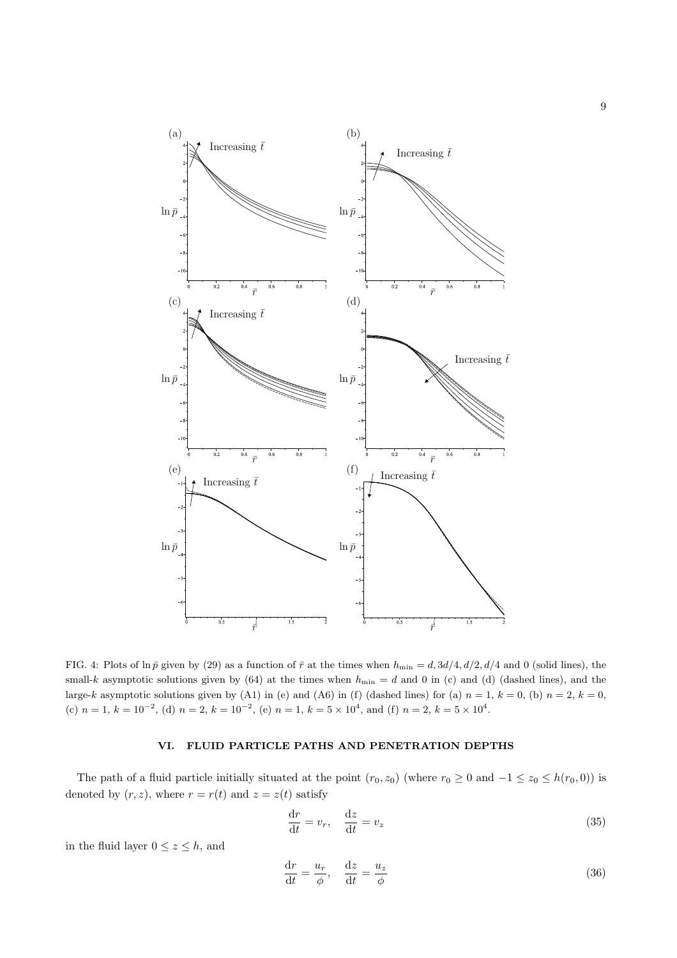

FIG. 4: Plots of ln  $\bar{p}$  given by (29) as a function of  $\bar{r}$  at the times when  $h_{\min} = d$ ,  $3d/4$ ,  $d/2$ ,  $d/4$  and 0 (solid lines), the small-k asymptotic solutions given by (64) at the times when  $h_{\text{min}} = d$  and 0 in (c) and (d) (dashed lines), and the large-k asymptotic solutions given by (A1) in (e) and (A6) in (f) (dashed lines) for (a)  $n = 1$ ,  $k = 0$ , (b)  $n = 2$ ,  $k = 0$ , (c)  $n = 1, k = 10^{-2}$ , (d)  $n = 2, k = 10^{-2}$ , (e)  $n = 1, k = 5 \times 10^{4}$ , and (f)  $n = 2, k = 5 \times 10^{4}$ .

# VI. FLUID PARTICLE PATHS AND PENETRATION DEPTHS

The path of a fluid particle initially situated at the point  $(r_0, z_0)$  (where  $r_0 \ge 0$  and  $-1 \le z_0 \le h(r_0, 0)$ ) is denoted by  $(r, z)$ , where  $r = r(t)$  and  $z = z(t)$  satisfy

$$
\frac{\mathrm{d}r}{\mathrm{d}t} = v_r, \quad \frac{\mathrm{d}z}{\mathrm{d}t} = v_z \tag{35}
$$

in the fluid layer  $0 \le z \le h$ , and

$$
\frac{\mathrm{d}r}{\mathrm{d}t} = \frac{u_r}{\phi}, \quad \frac{\mathrm{d}z}{\mathrm{d}t} = \frac{u_z}{\phi} \tag{36}
$$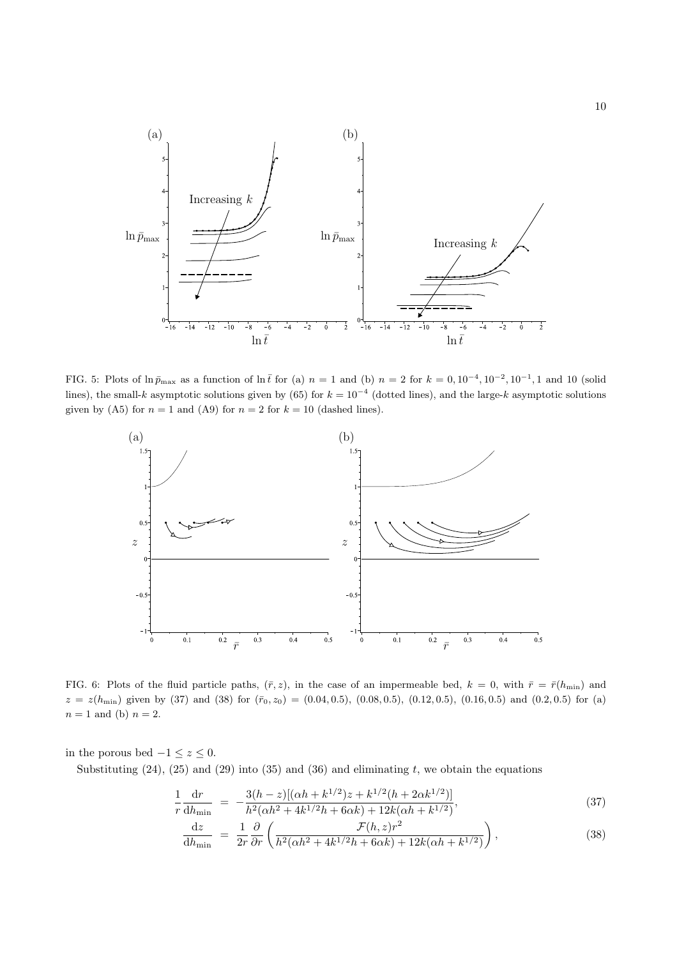

FIG. 5: Plots of  $\ln \bar{p}_{\text{max}}$  as a function of  $\ln \bar{t}$  for (a)  $n = 1$  and (b)  $n = 2$  for  $k = 0, 10^{-4}, 10^{-2}, 10^{-1}, 1$  and 10 (solid lines), the small-k asymptotic solutions given by (65) for  $k = 10^{-4}$  (dotted lines), and the large-k asymptotic solutions given by (A5) for  $n = 1$  and (A9) for  $n = 2$  for  $k = 10$  (dashed lines).



FIG. 6: Plots of the fluid particle paths,  $(\bar{r}, z)$ , in the case of an impermeable bed,  $k = 0$ , with  $\bar{r} = \bar{r}(h_{\min})$  and  $z = z(h_{\text{min}})$  given by (37) and (38) for  $(\bar{r}_0, z_0) = (0.04, 0.5), (0.08, 0.5), (0.12, 0.5), (0.16, 0.5)$  and  $(0.2, 0.5)$  for (a)  $n = 1$  and (b)  $n = 2$ .

in the porous bed  $-1 \leq z \leq 0$ .

Substituting  $(24)$ ,  $(25)$  and  $(29)$  into  $(35)$  and  $(36)$  and eliminating t, we obtain the equations

$$
\frac{1}{r}\frac{\mathrm{d}r}{\mathrm{d}h_{\min}} = -\frac{3(h-z)[(\alpha h + k^{1/2})z + k^{1/2}(h + 2\alpha k^{1/2})]}{h^2(\alpha h^2 + 4k^{1/2}h + 6\alpha k) + 12k(\alpha h + k^{1/2})},\tag{37}
$$

$$
\frac{\mathrm{d}z}{\mathrm{d}h_{\min}} = \frac{1}{2r} \frac{\partial}{\partial r} \left( \frac{\mathcal{F}(h,z)r^2}{h^2(\alpha h^2 + 4k^{1/2}h + 6\alpha k) + 12k(\alpha h + k^{1/2})} \right),\tag{38}
$$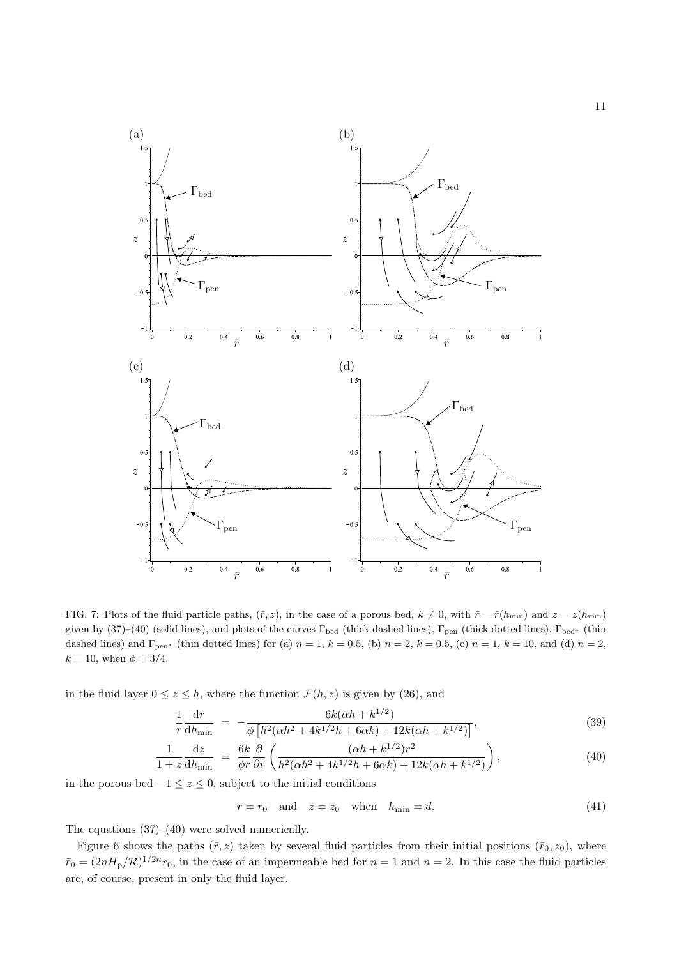

FIG. 7: Plots of the fluid particle paths,  $(\bar{r}, z)$ , in the case of a porous bed,  $k \neq 0$ , with  $\bar{r} = \bar{r}(h_{\min})$  and  $z = z(h_{\min})$ given by (37)–(40) (solid lines), and plots of the curves  $\Gamma_{\text{bed}}$  (thick dashed lines),  $\Gamma_{\text{pen}}$  (thick dotted lines),  $\Gamma_{\text{bed}}$ <sup>\*</sup> (thin dashed lines) and  $\Gamma_{\text{pen}}{}^*$  (thin dotted lines) for (a)  $n = 1$ ,  $k = 0.5$ , (b)  $n = 2$ ,  $k = 0.5$ , (c)  $n = 1$ ,  $k = 10$ , and (d)  $n = 2$ ,  $k = 10$ , when  $\phi = 3/4$ .

in the fluid layer  $0 \le z \le h$ , where the function  $\mathcal{F}(h, z)$  is given by (26), and

$$
\frac{1}{r}\frac{\mathrm{d}r}{\mathrm{d}h_{\mathrm{min}}} = -\frac{6k(\alpha h + k^{1/2})}{\phi \left[ h^2(\alpha h^2 + 4k^{1/2}h + 6\alpha k) + 12k(\alpha h + k^{1/2}) \right]},\tag{39}
$$

$$
\frac{1}{1+z}\frac{dz}{dh_{\min}} = \frac{6k}{\phi r}\frac{\partial}{\partial r}\left(\frac{(ah + k^{1/2})r^2}{h^2(\alpha h^2 + 4k^{1/2}h + 6\alpha k) + 12k(\alpha h + k^{1/2})}\right),\tag{40}
$$

in the porous bed  $-1 ≤ z ≤ 0$ , subject to the initial conditions

$$
r = r_0 \quad \text{and} \quad z = z_0 \quad \text{when} \quad h_{\min} = d. \tag{41}
$$

The equations (37)–(40) were solved numerically.

Figure 6 shows the paths  $(\bar{r}, z)$  taken by several fluid particles from their initial positions  $(\bar{r}_0, z_0)$ , where  $\bar{r}_0 = (2nH_{\rm p}/R)^{1/2n}r_0$ , in the case of an impermeable bed for  $n = 1$  and  $n = 2$ . In this case the fluid particles are, of course, present in only the fluid layer.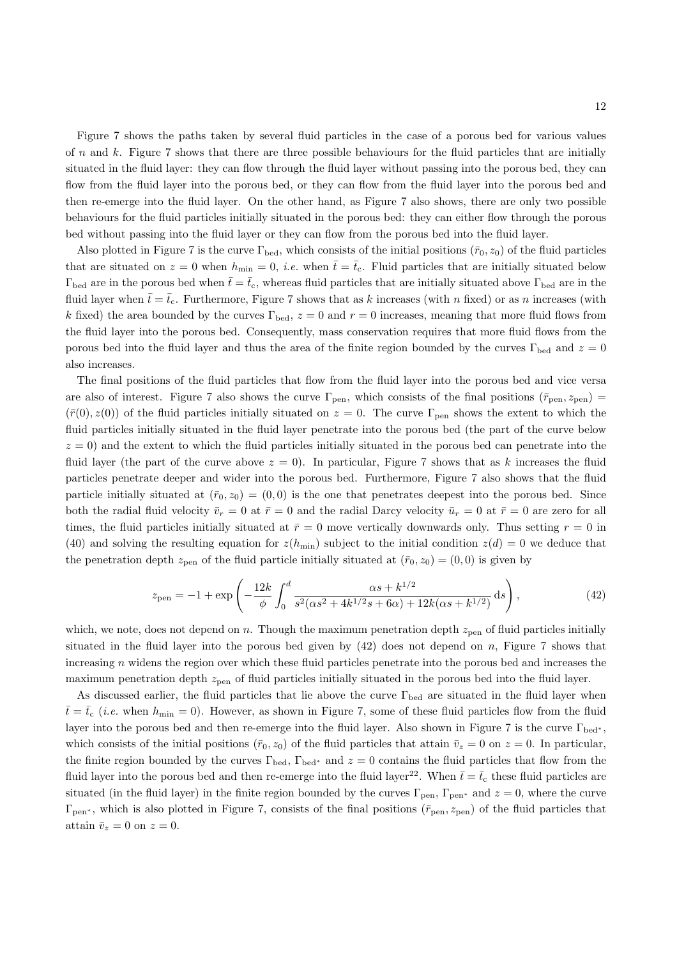Figure 7 shows the paths taken by several fluid particles in the case of a porous bed for various values of n and k. Figure 7 shows that there are three possible behaviours for the fluid particles that are initially situated in the fluid layer: they can flow through the fluid layer without passing into the porous bed, they can flow from the fluid layer into the porous bed, or they can flow from the fluid layer into the porous bed and then re-emerge into the fluid layer. On the other hand, as Figure 7 also shows, there are only two possible behaviours for the fluid particles initially situated in the porous bed: they can either flow through the porous bed without passing into the fluid layer or they can flow from the porous bed into the fluid layer.

Also plotted in Figure 7 is the curve  $\Gamma_{\text{bed}}$ , which consists of the initial positions  $(\bar{r}_0, z_0)$  of the fluid particles that are situated on  $z = 0$  when  $h_{\min} = 0$ , *i.e.* when  $\bar{t} = \bar{t}_c$ . Fluid particles that are initially situated below  $\Gamma_{\text{bed}}$  are in the porous bed when  $\bar{t}=\bar{t}_{c}$ , whereas fluid particles that are initially situated above  $\Gamma_{\text{bed}}$  are in the fluid layer when  $\bar{t}=\bar{t}_{c}$ . Furthermore, Figure 7 shows that as k increases (with n fixed) or as n increases (with k fixed) the area bounded by the curves  $\Gamma_{\text{bed}}$ ,  $z = 0$  and  $r = 0$  increases, meaning that more fluid flows from the fluid layer into the porous bed. Consequently, mass conservation requires that more fluid flows from the porous bed into the fluid layer and thus the area of the finite region bounded by the curves  $\Gamma_{\text{bed}}$  and  $z = 0$ also increases.

The final positions of the fluid particles that flow from the fluid layer into the porous bed and vice versa are also of interest. Figure 7 also shows the curve  $\Gamma_{\text{pen}}$ , which consists of the final positions  $(\bar{r}_{\text{pen}}, z_{\text{pen}})$  $(\bar{r}(0), z(0))$  of the fluid particles initially situated on  $z = 0$ . The curve  $\Gamma_{\text{pen}}$  shows the extent to which the fluid particles initially situated in the fluid layer penetrate into the porous bed (the part of the curve below  $z = 0$ ) and the extent to which the fluid particles initially situated in the porous bed can penetrate into the fluid layer (the part of the curve above  $z = 0$ ). In particular, Figure 7 shows that as k increases the fluid particles penetrate deeper and wider into the porous bed. Furthermore, Figure 7 also shows that the fluid particle initially situated at  $(\bar{r}_0, z_0) = (0, 0)$  is the one that penetrates deepest into the porous bed. Since both the radial fluid velocity  $\bar{v}_r = 0$  at  $\bar{r} = 0$  and the radial Darcy velocity  $\bar{u}_r = 0$  at  $\bar{r} = 0$  are zero for all times, the fluid particles initially situated at  $\bar{r} = 0$  move vertically downwards only. Thus setting  $r = 0$  in (40) and solving the resulting equation for  $z(h_{\min})$  subject to the initial condition  $z(d) = 0$  we deduce that the penetration depth  $z_{pen}$  of the fluid particle initially situated at  $(\bar{r}_0, z_0) = (0, 0)$  is given by

$$
z_{\rm pen} = -1 + \exp\left(-\frac{12k}{\phi} \int_0^d \frac{\alpha s + k^{1/2}}{s^2(\alpha s^2 + 4k^{1/2}s + 6\alpha) + 12k(\alpha s + k^{1/2})} ds\right),\tag{42}
$$

which, we note, does not depend on n. Though the maximum penetration depth  $z_{pen}$  of fluid particles initially situated in the fluid layer into the porous bed given by  $(42)$  does not depend on n, Figure 7 shows that increasing n widens the region over which these fluid particles penetrate into the porous bed and increases the maximum penetration depth  $z_{pen}$  of fluid particles initially situated in the porous bed into the fluid layer.

As discussed earlier, the fluid particles that lie above the curve Γ<sub>bed</sub> are situated in the fluid layer when  $\bar{t}$  =  $\bar{t}_c$  (*i.e.* when  $h_{\text{min}} = 0$ ). However, as shown in Figure 7, some of these fluid particles flow from the fluid layer into the porous bed and then re-emerge into the fluid layer. Also shown in Figure 7 is the curve Γ<sub>bed<sup>\*</sup></sub>, which consists of the initial positions ( $\bar{r}_0$ ,  $z_0$ ) of the fluid particles that attain  $\bar{v}_z = 0$  on  $z = 0$ . In particular, the finite region bounded by the curves  $\Gamma_{\text{bed}}$ ,  $\Gamma_{\text{bed}}^*$  and  $z = 0$  contains the fluid particles that flow from the fluid layer into the porous bed and then re-emerge into the fluid layer<sup>22</sup>. When  $\bar{t}=\bar{t}_c$  these fluid particles are situated (in the fluid layer) in the finite region bounded by the curves  $\Gamma_{pen}$ ,  $\Gamma_{pen^*}$  and  $z = 0$ , where the curve  $\Gamma_{\text{pen}}$ , which is also plotted in Figure 7, consists of the final positions ( $\bar{r}_{\text{pen}}$ ,  $z_{\text{pen}}$ ) of the fluid particles that attain  $\bar{v}_z = 0$  on  $z = 0$ .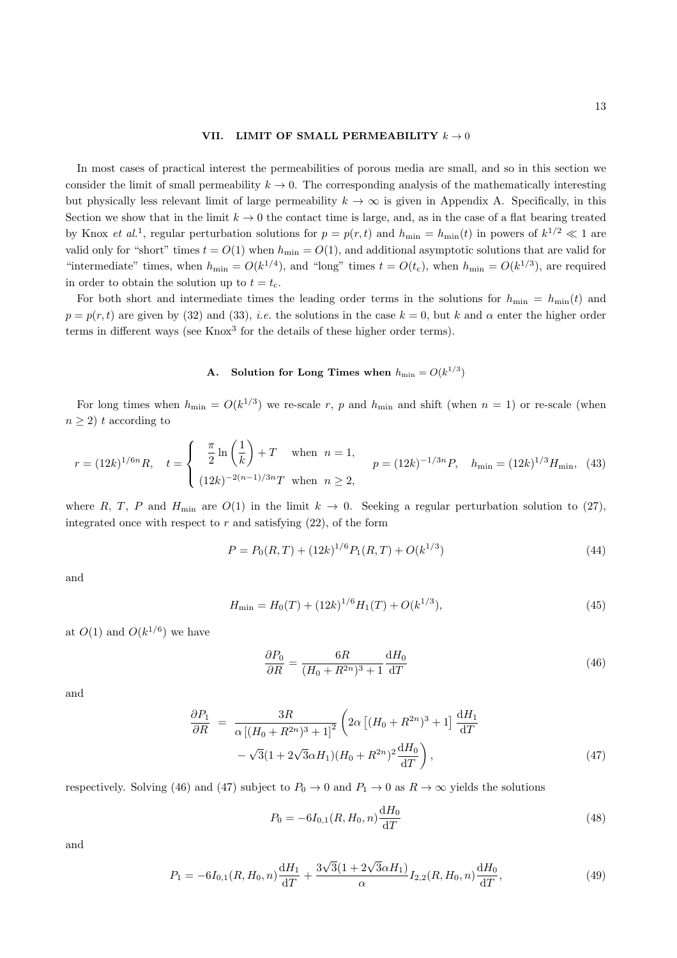#### VII. LIMIT OF SMALL PERMEABILITY  $k \to 0$

In most cases of practical interest the permeabilities of porous media are small, and so in this section we consider the limit of small permeability  $k \to 0$ . The corresponding analysis of the mathematically interesting but physically less relevant limit of large permeability  $k \to \infty$  is given in Appendix A. Specifically, in this Section we show that in the limit  $k \to 0$  the contact time is large, and, as in the case of a flat bearing treated by Knox *et al.*<sup>1</sup>, regular perturbation solutions for  $p = p(r, t)$  and  $h_{\min} = h_{\min}(t)$  in powers of  $k^{1/2} \ll 1$  are valid only for "short" times  $t = O(1)$  when  $h_{\min} = O(1)$ , and additional asymptotic solutions that are valid for "intermediate" times, when  $h_{\min} = O(k^{1/4})$ , and "long" times  $t = O(t_c)$ , when  $h_{\min} = O(k^{1/3})$ , are required in order to obtain the solution up to  $t = t_c$ .

For both short and intermediate times the leading order terms in the solutions for  $h_{\min} = h_{\min}(t)$  and  $p = p(r, t)$  are given by (32) and (33), *i.e.* the solutions in the case  $k = 0$ , but k and  $\alpha$  enter the higher order terms in different ways (see Knox<sup>3</sup> for the details of these higher order terms).

# **A.** Solution for Long Times when  $h_{\min} = O(k^{1/3})$

For long times when  $h_{\min} = O(k^{1/3})$  we re-scale r, p and  $h_{\min}$  and shift (when  $n = 1$ ) or re-scale (when  $n \geq 2$ ) t according to

$$
r = (12k)^{1/6n} R, \quad t = \begin{cases} \frac{\pi}{2} \ln\left(\frac{1}{k}\right) + T & \text{when } n = 1, \\ (12k)^{-2(n-1)/3n} T & \text{when } n \ge 2, \end{cases} \quad p = (12k)^{-1/3n} P, \quad h_{\min} = (12k)^{1/3} H_{\min}, \tag{43}
$$

where R, T, P and  $H_{\text{min}}$  are  $O(1)$  in the limit  $k \to 0$ . Seeking a regular perturbation solution to (27), integrated once with respect to  $r$  and satisfying  $(22)$ , of the form

$$
P = P_0(R,T) + (12k)^{1/6} P_1(R,T) + O(k^{1/3})
$$
\n(44)

and

$$
H_{\min} = H_0(T) + (12k)^{1/6} H_1(T) + O(k^{1/3}),\tag{45}
$$

at  $O(1)$  and  $O(k^{1/6})$  we have

$$
\frac{\partial P_0}{\partial R} = \frac{6R}{(H_0 + R^{2n})^3 + 1} \frac{\mathrm{d}H_0}{\mathrm{d}T} \tag{46}
$$

and

$$
\frac{\partial P_1}{\partial R} = \frac{3R}{\alpha \left[ (H_0 + R^{2n})^3 + 1 \right]^2} \left( 2\alpha \left[ (H_0 + R^{2n})^3 + 1 \right] \frac{\mathrm{d}H_1}{\mathrm{d}T} - \sqrt{3} (1 + 2\sqrt{3}\alpha H_1) (H_0 + R^{2n})^2 \frac{\mathrm{d}H_0}{\mathrm{d}T} \right),\tag{47}
$$

respectively. Solving (46) and (47) subject to  $P_0 \to 0$  and  $P_1 \to 0$  as  $R \to \infty$  yields the solutions

$$
P_0 = -6I_{0,1}(R, H_0, n)\frac{\mathrm{d}H_0}{\mathrm{d}T} \tag{48}
$$

and

$$
P_1 = -6I_{0,1}(R, H_0, n)\frac{\mathrm{d}H_1}{\mathrm{d}T} + \frac{3\sqrt{3}(1 + 2\sqrt{3}\alpha H_1)}{\alpha}I_{2,2}(R, H_0, n)\frac{\mathrm{d}H_0}{\mathrm{d}T},\tag{49}
$$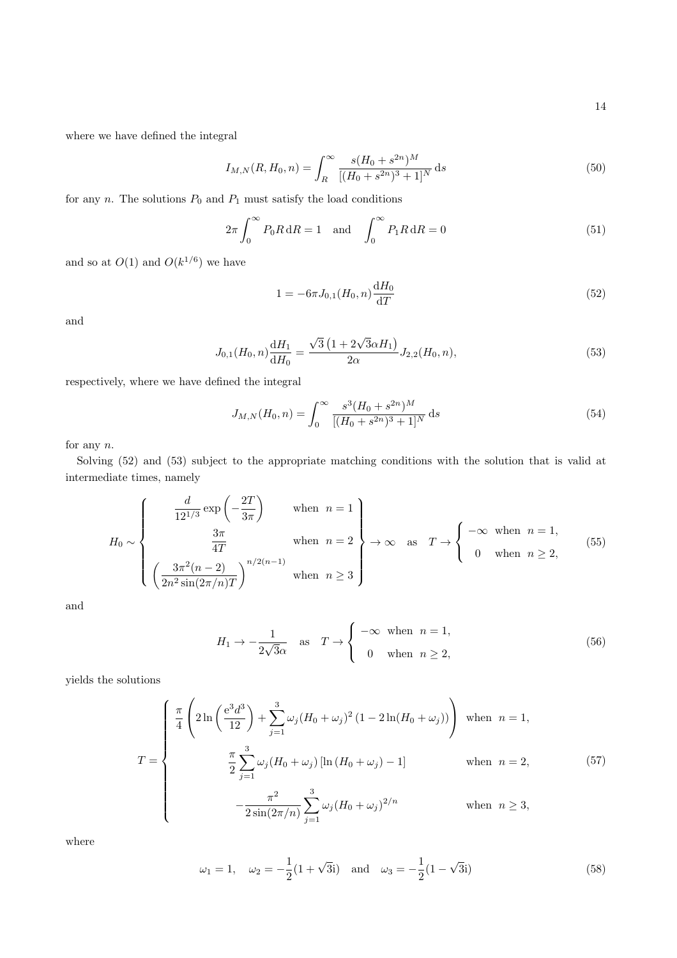where we have defined the integral

$$
I_{M,N}(R, H_0, n) = \int_R^{\infty} \frac{s(H_0 + s^{2n})^M}{[(H_0 + s^{2n})^3 + 1]^N} ds
$$
\n(50)

for any  $n$ . The solutions  $P_0$  and  $P_1$  must satisfy the load conditions

$$
2\pi \int_0^\infty P_0 R \, dR = 1 \quad \text{and} \quad \int_0^\infty P_1 R \, dR = 0 \tag{51}
$$

and so at  $O(1)$  and  $O(k^{1/6})$  we have

$$
1 = -6\pi J_{0,1}(H_0, n) \frac{\mathrm{d}H_0}{\mathrm{d}T} \tag{52}
$$

and

$$
J_{0,1}(H_0, n)\frac{\mathrm{d}H_1}{\mathrm{d}H_0} = \frac{\sqrt{3}\left(1 + 2\sqrt{3}\alpha H_1\right)}{2\alpha} J_{2,2}(H_0, n),\tag{53}
$$

respectively, where we have defined the integral

$$
J_{M,N}(H_0, n) = \int_0^\infty \frac{s^3 (H_0 + s^{2n})^M}{[(H_0 + s^{2n})^3 + 1]^N} ds
$$
\n(54)

for any n.

Solving (52) and (53) subject to the appropriate matching conditions with the solution that is valid at intermediate times, namely

$$
H_0 \sim \begin{cases} \frac{d}{12^{1/3}} \exp\left(-\frac{2T}{3\pi}\right) & \text{when } n = 1\\ \frac{3\pi}{4T} & \text{when } n = 2\\ \left(\frac{3\pi^2(n-2)}{2n^2 \sin(2\pi/n)T}\right)^{n/2(n-1)} & \text{when } n \ge 3 \end{cases} \to \infty \text{ as } T \to \begin{cases} -\infty & \text{when } n = 1, \\ 0 & \text{when } n \ge 2, \end{cases} (55)
$$

and

$$
H_1 \to -\frac{1}{2\sqrt{3}\alpha} \quad \text{as} \quad T \to \begin{cases} -\infty & \text{when} \quad n = 1, \\ 0 & \text{when} \quad n \ge 2, \end{cases}
$$
 (56)

yields the solutions

$$
T = \begin{cases} \frac{\pi}{4} \left( 2 \ln \left( \frac{e^3 d^3}{12} \right) + \sum_{j=1}^3 \omega_j (H_0 + \omega_j)^2 (1 - 2 \ln(H_0 + \omega_j)) \right) & \text{when } n = 1, \\ \frac{\pi}{2} \sum_{j=1}^3 \omega_j (H_0 + \omega_j) \left[ \ln (H_0 + \omega_j) - 1 \right] & \text{when } n = 2, \\ -\frac{\pi^2}{2 \sin(2\pi/n)} \sum_{j=1}^3 \omega_j (H_0 + \omega_j)^{2/n} & \text{when } n \ge 3, \end{cases}
$$
(57)

where

$$
\omega_1 = 1, \quad \omega_2 = -\frac{1}{2}(1 + \sqrt{3}i)
$$
 and  $\omega_3 = -\frac{1}{2}(1 - \sqrt{3}i)$  (58)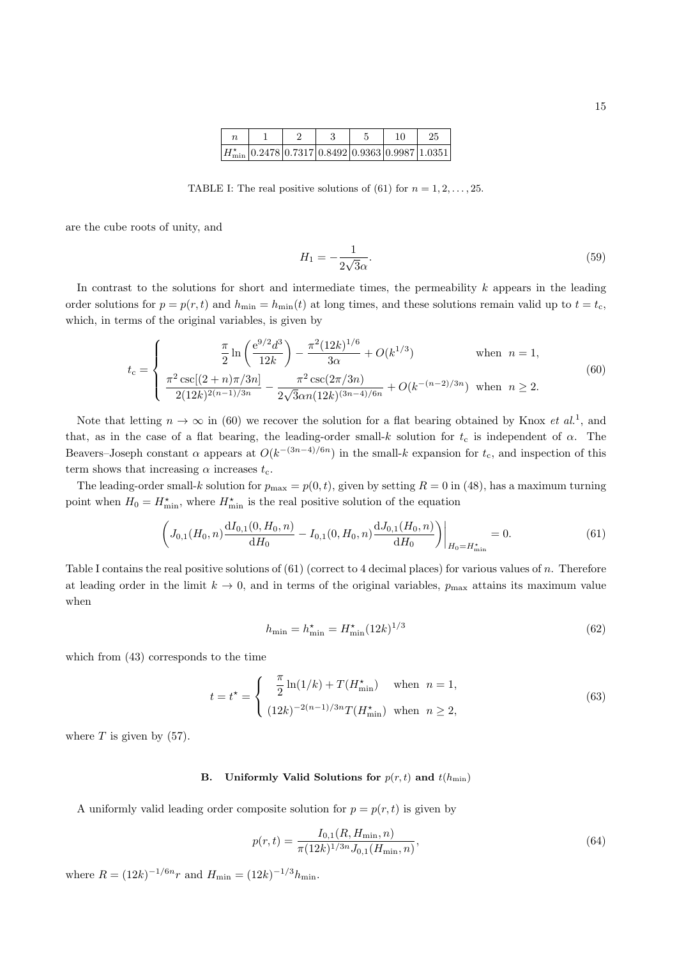|                                                                 |  |  | 25 |
|-----------------------------------------------------------------|--|--|----|
| $ H^\star_{\rm min} 0.2478 0.7317 0.8492 0.9363 0.9987 1.0351 $ |  |  |    |

TABLE I: The real positive solutions of (61) for  $n = 1, 2, \ldots, 25$ .

are the cube roots of unity, and

$$
H_1 = -\frac{1}{2\sqrt{3}\alpha}.\tag{59}
$$

In contrast to the solutions for short and intermediate times, the permeability  $k$  appears in the leading order solutions for  $p = p(r, t)$  and  $h_{\min} = h_{\min}(t)$  at long times, and these solutions remain valid up to  $t = t_c$ , which, in terms of the original variables, is given by

$$
t_{\rm c} = \begin{cases} \frac{\pi}{2} \ln \left( \frac{e^{9/2} d^3}{12k} \right) - \frac{\pi^2 (12k)^{1/6}}{3\alpha} + O(k^{1/3}) & \text{when } n = 1, \\ \frac{\pi^2 \csc[(2+n)\pi/3n]}{2(12k)^{2(n-1)/3n}} - \frac{\pi^2 \csc(2\pi/3n)}{2\sqrt{3}\alpha n (12k)^{(3n-4)/6n}} + O(k^{-(n-2)/3n}) & \text{when } n \ge 2. \end{cases}
$$
(60)

Note that letting  $n \to \infty$  in (60) we recover the solution for a flat bearing obtained by Knox *et al.*<sup>1</sup>, and that, as in the case of a flat bearing, the leading-order small-k solution for  $t_c$  is independent of  $\alpha$ . The Beavers–Joseph constant  $\alpha$  appears at  $O(k^{-(3n-4)/6n})$  in the small-k expansion for  $t_c$ , and inspection of this term shows that increasing  $\alpha$  increases  $t_c$ .

The leading-order small-k solution for  $p_{\text{max}} = p(0, t)$ , given by setting  $R = 0$  in (48), has a maximum turning point when  $H_0 = H_{\min}^*$ , where  $H_{\min}^*$  is the real positive solution of the equation

$$
\left(J_{0,1}(H_0, n)\frac{\mathrm{d}I_{0,1}(0, H_0, n)}{\mathrm{d}H_0} - I_{0,1}(0, H_0, n)\frac{\mathrm{d}J_{0,1}(H_0, n)}{\mathrm{d}H_0}\right)\Big|_{H_0 = H_{\min}^*} = 0.
$$
\n(61)

Table I contains the real positive solutions of (61) (correct to 4 decimal places) for various values of n. Therefore at leading order in the limit  $k \to 0$ , and in terms of the original variables,  $p_{\text{max}}$  attains its maximum value when

$$
h_{\min} = h_{\min}^{\star} = H_{\min}^{\star} (12k)^{1/3}
$$
\n(62)

which from (43) corresponds to the time

$$
t = t^* = \begin{cases} \frac{\pi}{2} \ln(1/k) + T(H_{\min}^*) & \text{when } n = 1, \\ (12k)^{-2(n-1)/3n} T(H_{\min}^*) & \text{when } n \ge 2, \end{cases}
$$
 (63)

where  $T$  is given by  $(57)$ .

## B. Uniformly Valid Solutions for  $p(r, t)$  and  $t(h_{\min})$

A uniformly valid leading order composite solution for  $p = p(r, t)$  is given by

$$
p(r,t) = \frac{I_{0,1}(R, H_{\min}, n)}{\pi (12k)^{1/3n} J_{0,1}(H_{\min}, n)},
$$
\n(64)

where  $R = (12k)^{-1/6n}r$  and  $H_{\min} = (12k)^{-1/3}h_{\min}$ .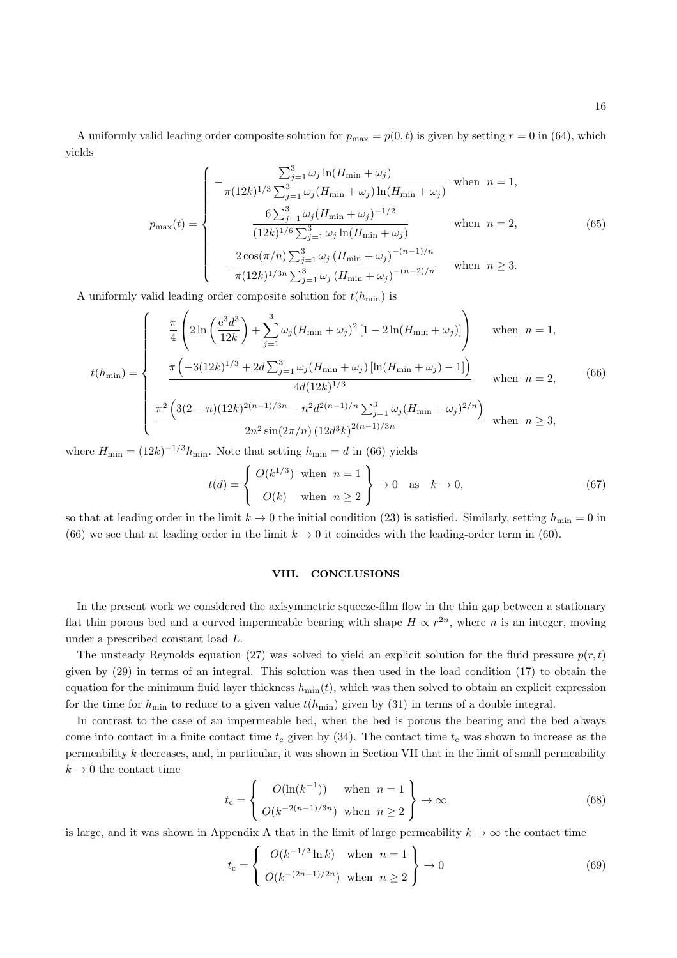A uniformly valid leading order composite solution for  $p_{\text{max}} = p(0, t)$  is given by setting  $r = 0$  in (64), which yields

$$
p_{\max}(t) = \begin{cases}\n-\frac{\sum_{j=1}^{3} \omega_j \ln(H_{\min} + \omega_j)}{\pi (12k)^{1/3} \sum_{j=1}^{3} \omega_j (H_{\min} + \omega_j) \ln(H_{\min} + \omega_j)} & \text{when } n = 1, \\
\frac{6 \sum_{j=1}^{3} \omega_j (H_{\min} + \omega_j)^{-1/2}}{(12k)^{1/6} \sum_{j=1}^{3} \omega_j \ln(H_{\min} + \omega_j)} & \text{when } n = 2, \\
-\frac{2 \cos(\pi/n) \sum_{j=1}^{3} \omega_j (H_{\min} + \omega_j)^{-(n-1)/n}}{\pi (12k)^{1/3n} \sum_{j=1}^{3} \omega_j (H_{\min} + \omega_j)^{-(n-2)/n}} & \text{when } n \ge 3.\n\end{cases}
$$
\n(65)

A uniformly valid leading order composite solution for  $t(h_{\min})$  is

$$
t(h_{\min}) = \begin{cases} \frac{\pi}{4} \left( 2 \ln \left( \frac{e^3 d^3}{12k} \right) + \sum_{j=1}^3 \omega_j (H_{\min} + \omega_j)^2 \left[ 1 - 2 \ln(H_{\min} + \omega_j) \right] \right) & \text{when } n = 1, \\ \frac{\pi \left( -3(12k)^{1/3} + 2d \sum_{j=1}^3 \omega_j (H_{\min} + \omega_j) \left[ \ln(H_{\min} + \omega_j) - 1 \right] \right)}{4d(12k)^{1/3}} & \text{when } n = 2, \\ \frac{\pi^2 \left( 3(2 - n)(12k)^{2(n-1)/3n} - n^2 d^{2(n-1)/n} \sum_{j=1}^3 \omega_j (H_{\min} + \omega_j)^{2/n} \right)}{2n^2 \sin(2\pi/n) \left( 12d^3k \right)^{2(n-1)/3n}} & \text{when } n \ge 3, \end{cases} \tag{66}
$$

where  $H_{\min} = (12k)^{-1/3} h_{\min}$ . Note that setting  $h_{\min} = d$  in (66) yields

$$
t(d) = \begin{cases} O(k^{1/3}) & \text{when } n = 1 \\ O(k) & \text{when } n \ge 2 \end{cases} \to 0 \quad \text{as } k \to 0,
$$
 (67)

so that at leading order in the limit  $k \to 0$  the initial condition (23) is satisfied. Similarly, setting  $h_{\min} = 0$  in (66) we see that at leading order in the limit  $k \to 0$  it coincides with the leading-order term in (60).

#### VIII. CONCLUSIONS

In the present work we considered the axisymmetric squeeze-film flow in the thin gap between a stationary flat thin porous bed and a curved impermeable bearing with shape  $H \propto r^{2n}$ , where n is an integer, moving under a prescribed constant load L.

The unsteady Reynolds equation (27) was solved to yield an explicit solution for the fluid pressure  $p(r, t)$ given by (29) in terms of an integral. This solution was then used in the load condition (17) to obtain the equation for the minimum fluid layer thickness  $h_{\text{min}}(t)$ , which was then solved to obtain an explicit expression for the time for  $h_{\min}$  to reduce to a given value  $t(h_{\min})$  given by (31) in terms of a double integral.

In contrast to the case of an impermeable bed, when the bed is porous the bearing and the bed always come into contact in a finite contact time  $t_c$  given by (34). The contact time  $t_c$  was shown to increase as the permeability k decreases, and, in particular, it was shown in Section VII that in the limit of small permeability  $k \rightarrow 0$  the contact time

$$
t_{\rm c} = \left\{ \begin{array}{ll} O(\ln(k^{-1})) & \text{when } n = 1 \\ O(k^{-2(n-1)/3n}) & \text{when } n \ge 2 \end{array} \right\} \to \infty \tag{68}
$$

is large, and it was shown in Appendix A that in the limit of large permeability  $k \to \infty$  the contact time

$$
t_{\rm c} = \begin{cases} O(k^{-1/2}\ln k) & \text{when } n = 1 \\ O(k^{-(2n-1)/2n}) & \text{when } n \ge 2 \end{cases} \rightarrow 0
$$
 (69)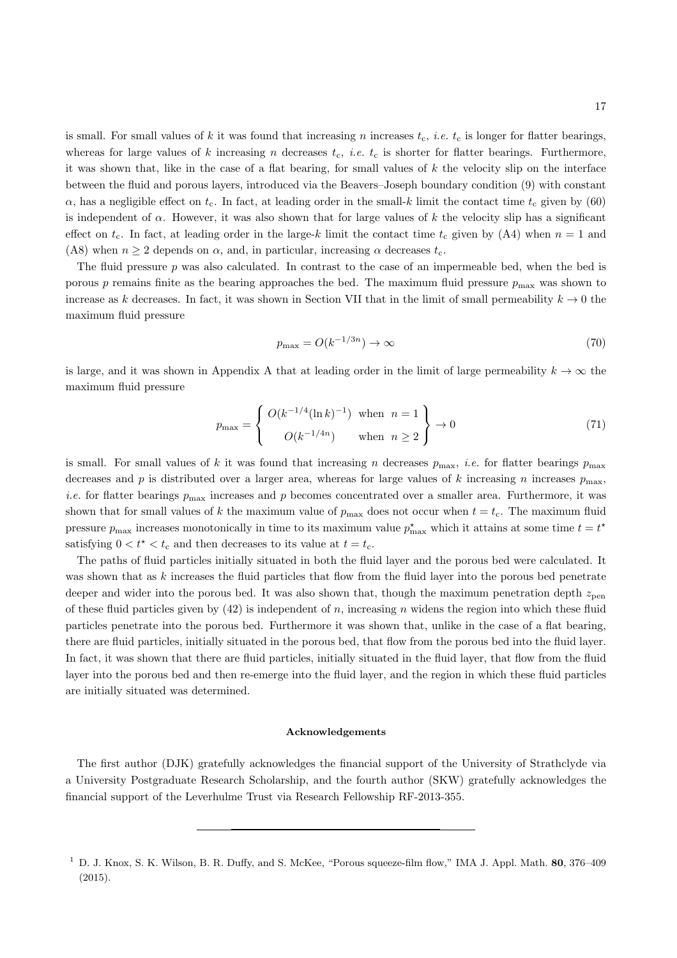is small. For small values of k it was found that increasing n increases  $t_c$ , *i.e.*  $t_c$  is longer for flatter bearings, whereas for large values of k increasing n decreases  $t_c$ , *i.e.*  $t_c$  is shorter for flatter bearings. Furthermore, it was shown that, like in the case of a flat bearing, for small values of  $k$  the velocity slip on the interface between the fluid and porous layers, introduced via the Beavers–Joseph boundary condition (9) with constant  $\alpha$ , has a negligible effect on  $t_c$ . In fact, at leading order in the small-k limit the contact time  $t_c$  given by (60) is independent of  $\alpha$ . However, it was also shown that for large values of k the velocity slip has a significant effect on  $t_c$ . In fact, at leading order in the large-k limit the contact time  $t_c$  given by (A4) when  $n = 1$  and (A8) when  $n \geq 2$  depends on  $\alpha$ , and, in particular, increasing  $\alpha$  decreases  $t_c$ .

The fluid pressure  $p$  was also calculated. In contrast to the case of an impermeable bed, when the bed is porous p remains finite as the bearing approaches the bed. The maximum fluid pressure  $p_{\text{max}}$  was shown to increase as k decreases. In fact, it was shown in Section VII that in the limit of small permeability  $k \to 0$  the maximum fluid pressure

$$
p_{\max} = O(k^{-1/3n}) \to \infty \tag{70}
$$

is large, and it was shown in Appendix A that at leading order in the limit of large permeability  $k \to \infty$  the maximum fluid pressure

$$
p_{\max} = \begin{cases} O(k^{-1/4}(\ln k)^{-1}) & \text{when } n = 1 \\ O(k^{-1/4n}) & \text{when } n \ge 2 \end{cases} \to 0
$$
\n
$$
(71)
$$

is small. For small values of k it was found that increasing n decreases  $p_{\text{max}}$ , *i.e.* for flatter bearings  $p_{\text{max}}$ decreases and p is distributed over a larger area, whereas for large values of k increasing n increases  $p_{\text{max}}$ , *i.e.* for flatter bearings  $p_{\text{max}}$  increases and p becomes concentrated over a smaller area. Furthermore, it was shown that for small values of k the maximum value of  $p_{\text{max}}$  does not occur when  $t = t_c$ . The maximum fluid pressure  $p_{\text{max}}$  increases monotonically in time to its maximum value  $p_{\text{max}}^*$  which it attains at some time  $t = t^*$ satisfying  $0 < t^* < t_c$  and then decreases to its value at  $t = t_c$ .

The paths of fluid particles initially situated in both the fluid layer and the porous bed were calculated. It was shown that as  $k$  increases the fluid particles that flow from the fluid layer into the porous bed penetrate deeper and wider into the porous bed. It was also shown that, though the maximum penetration depth  $z_{pen}$ of these fluid particles given by  $(42)$  is independent of n, increasing n widens the region into which these fluid particles penetrate into the porous bed. Furthermore it was shown that, unlike in the case of a flat bearing, there are fluid particles, initially situated in the porous bed, that flow from the porous bed into the fluid layer. In fact, it was shown that there are fluid particles, initially situated in the fluid layer, that flow from the fluid layer into the porous bed and then re-emerge into the fluid layer, and the region in which these fluid particles are initially situated was determined.

#### Acknowledgements

The first author (DJK) gratefully acknowledges the financial support of the University of Strathclyde via a University Postgraduate Research Scholarship, and the fourth author (SKW) gratefully acknowledges the financial support of the Leverhulme Trust via Research Fellowship RF-2013-355.

 $1$  D. J. Knox, S. K. Wilson, B. R. Duffy, and S. McKee, "Porous squeeze-film flow," IMA J. Appl. Math. 80, 376–409 (2015).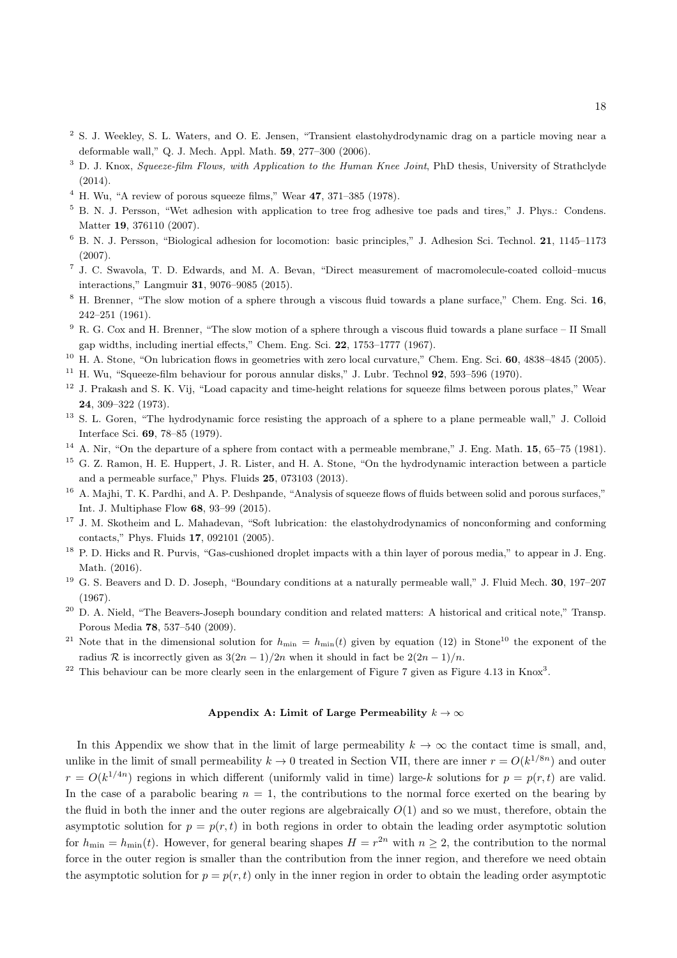- <sup>2</sup> S. J. Weekley, S. L. Waters, and O. E. Jensen, "Transient elastohydrodynamic drag on a particle moving near a deformable wall," Q. J. Mech. Appl. Math. 59, 277–300 (2006).
- $3$  D. J. Knox, Squeeze-film Flows, with Application to the Human Knee Joint, PhD thesis, University of Strathclyde (2014).
- $4$  H. Wu, "A review of porous squeeze films," Wear  $47$ , 371–385 (1978).
- <sup>5</sup> B. N. J. Persson, "Wet adhesion with application to tree frog adhesive toe pads and tires," J. Phys.: Condens. Matter 19, 376110 (2007).
- <sup>6</sup> B. N. J. Persson, "Biological adhesion for locomotion: basic principles," J. Adhesion Sci. Technol. 21, 1145–1173 (2007).
- 7 J. C. Swavola, T. D. Edwards, and M. A. Bevan, "Direct measurement of macromolecule-coated colloid–mucus interactions," Langmuir 31, 9076–9085 (2015).
- <sup>8</sup> H. Brenner, "The slow motion of a sphere through a viscous fluid towards a plane surface," Chem. Eng. Sci. 16, 242–251 (1961).
- <sup>9</sup> R. G. Cox and H. Brenner, "The slow motion of a sphere through a viscous fluid towards a plane surface II Small gap widths, including inertial effects," Chem. Eng. Sci. 22, 1753–1777 (1967).
- <sup>10</sup> H. A. Stone, "On lubrication flows in geometries with zero local curvature," Chem. Eng. Sci. **60**, 4838-4845 (2005).
- <sup>11</sup> H. Wu, "Squeeze-film behaviour for porous annular disks," J. Lubr. Technol **92**, 593–596 (1970).
- <sup>12</sup> J. Prakash and S. K. Vij, "Load capacity and time-height relations for squeeze films between porous plates," Wear 24, 309–322 (1973).
- <sup>13</sup> S. L. Goren, "The hydrodynamic force resisting the approach of a sphere to a plane permeable wall," J. Colloid Interface Sci. 69, 78–85 (1979).
- $14$  A. Nir, "On the departure of a sphere from contact with a permeable membrane," J. Eng. Math.  $15$ ,  $65-75$  (1981).
- <sup>15</sup> G. Z. Ramon, H. E. Huppert, J. R. Lister, and H. A. Stone, "On the hydrodynamic interaction between a particle and a permeable surface," Phys. Fluids 25, 073103 (2013).
- <sup>16</sup> A. Majhi, T. K. Pardhi, and A. P. Deshpande, "Analysis of squeeze flows of fluids between solid and porous surfaces," Int. J. Multiphase Flow 68, 93–99 (2015).
- <sup>17</sup> J. M. Skotheim and L. Mahadevan, "Soft lubrication: the elastohydrodynamics of nonconforming and conforming contacts," Phys. Fluids 17, 092101 (2005).
- <sup>18</sup> P. D. Hicks and R. Purvis, "Gas-cushioned droplet impacts with a thin layer of porous media," to appear in J. Eng. Math. (2016).
- <sup>19</sup> G. S. Beavers and D. D. Joseph, "Boundary conditions at a naturally permeable wall," J. Fluid Mech. **30**, 197–207 (1967).
- <sup>20</sup> D. A. Nield, "The Beavers-Joseph boundary condition and related matters: A historical and critical note," Transp. Porous Media 78, 537–540 (2009).
- <sup>21</sup> Note that in the dimensional solution for  $h_{\min} = h_{\min}(t)$  given by equation (12) in Stone<sup>10</sup> the exponent of the radius R is incorrectly given as  $3(2n-1)/2n$  when it should in fact be  $2(2n-1)/n$ .
- <sup>22</sup> This behaviour can be more clearly seen in the enlargement of Figure 7 given as Figure 4.13 in Knox<sup>3</sup>.

# Appendix A: Limit of Large Permeability  $k \to \infty$

In this Appendix we show that in the limit of large permeability  $k \to \infty$  the contact time is small, and, unlike in the limit of small permeability  $k \to 0$  treated in Section VII, there are inner  $r = O(k^{1/8n})$  and outer  $r = O(k^{1/4n})$  regions in which different (uniformly valid in time) large-k solutions for  $p = p(r, t)$  are valid. In the case of a parabolic bearing  $n = 1$ , the contributions to the normal force exerted on the bearing by the fluid in both the inner and the outer regions are algebraically  $O(1)$  and so we must, therefore, obtain the asymptotic solution for  $p = p(r, t)$  in both regions in order to obtain the leading order asymptotic solution for  $h_{\min} = h_{\min}(t)$ . However, for general bearing shapes  $H = r^{2n}$  with  $n \ge 2$ , the contribution to the normal force in the outer region is smaller than the contribution from the inner region, and therefore we need obtain the asymptotic solution for  $p = p(r, t)$  only in the inner region in order to obtain the leading order asymptotic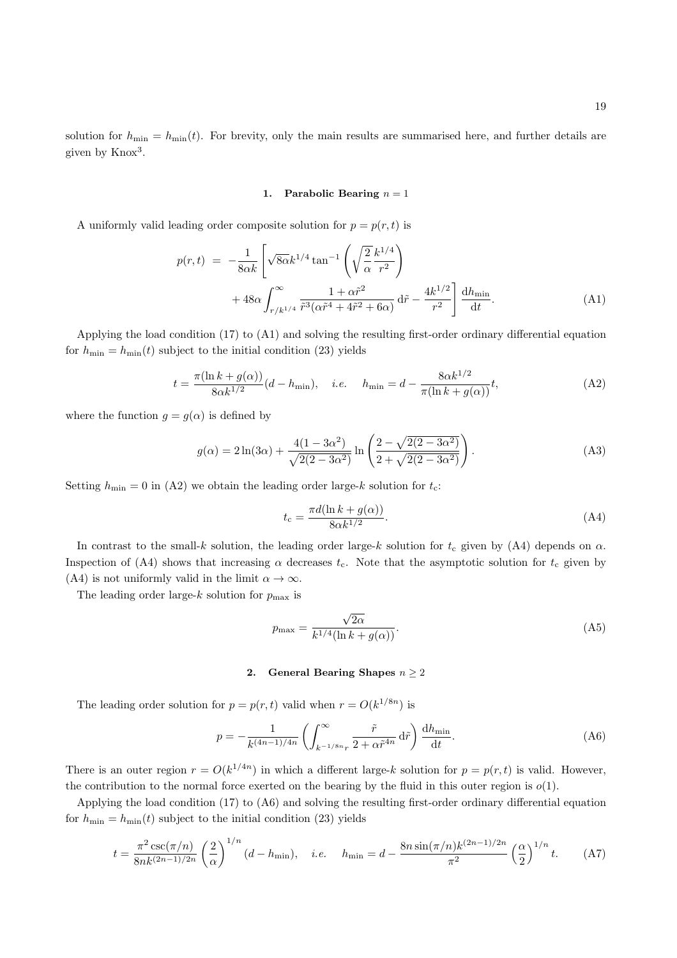solution for  $h_{\min} = h_{\min}(t)$ . For brevity, only the main results are summarised here, and further details are given by Knox<sup>3</sup>.

#### 1. Parabolic Bearing  $n = 1$

A uniformly valid leading order composite solution for  $p = p(r, t)$  is

$$
p(r,t) = -\frac{1}{8\alpha k} \left[ \sqrt{8\alpha} k^{1/4} \tan^{-1} \left( \sqrt{\frac{2}{\alpha}} \frac{k^{1/4}}{r^2} \right) + 48\alpha \int_{r/k^{1/4}}^{\infty} \frac{1 + \alpha \tilde{r}^2}{\tilde{r}^3 (\alpha \tilde{r}^4 + 4\tilde{r}^2 + 6\alpha)} d\tilde{r} - \frac{4k^{1/2}}{r^2} \right] \frac{dh_{\min}}{dt}.
$$
 (A1)

Applying the load condition (17) to (A1) and solving the resulting first-order ordinary differential equation for  $h_{\min} = h_{\min}(t)$  subject to the initial condition (23) yields

$$
t = \frac{\pi(\ln k + g(\alpha))}{8\alpha k^{1/2}}(d - h_{\min}), \quad i.e. \quad h_{\min} = d - \frac{8\alpha k^{1/2}}{\pi(\ln k + g(\alpha))}t,
$$
 (A2)

where the function  $g = g(\alpha)$  is defined by

$$
g(\alpha) = 2\ln(3\alpha) + \frac{4(1 - 3\alpha^2)}{\sqrt{2(2 - 3\alpha^2)}} \ln\left(\frac{2 - \sqrt{2(2 - 3\alpha^2)}}{2 + \sqrt{2(2 - 3\alpha^2)}}\right).
$$
 (A3)

Setting  $h_{\min} = 0$  in (A2) we obtain the leading order large-k solution for  $t_c$ :

$$
t_{\rm c} = \frac{\pi d(\ln k + g(\alpha))}{8\alpha k^{1/2}}.\tag{A4}
$$

In contrast to the small-k solution, the leading order large-k solution for  $t_c$  given by (A4) depends on  $\alpha$ . Inspection of (A4) shows that increasing  $\alpha$  decreases  $t_c$ . Note that the asymptotic solution for  $t_c$  given by (A4) is not uniformly valid in the limit  $\alpha \to \infty$ .

The leading order large- $k$  solution for  $p_{\text{max}}$  is

$$
p_{\max} = \frac{\sqrt{2\alpha}}{k^{1/4}(\ln k + g(\alpha))}.
$$
\n(A5)

## 2. General Bearing Shapes  $n \geq 2$

The leading order solution for  $p = p(r, t)$  valid when  $r = O(k^{1/8n})$  is

$$
p = -\frac{1}{k^{(4n-1)/4n}} \left( \int_{k^{-1/8n}r}^{\infty} \frac{\tilde{r}}{2 + \alpha \tilde{r}^{4n}} d\tilde{r} \right) \frac{dh_{\min}}{dt}.
$$
 (A6)

There is an outer region  $r = O(k^{1/4n})$  in which a different large-k solution for  $p = p(r, t)$  is valid. However, the contribution to the normal force exerted on the bearing by the fluid in this outer region is  $o(1)$ .

Applying the load condition (17) to (A6) and solving the resulting first-order ordinary differential equation for  $h_{\min} = h_{\min}(t)$  subject to the initial condition (23) yields

$$
t = \frac{\pi^2 \csc(\pi/n)}{8nk^{(2n-1)/2n}} \left(\frac{2}{\alpha}\right)^{1/n} (d - h_{\min}), \quad i.e. \quad h_{\min} = d - \frac{8n \sin(\pi/n)k^{(2n-1)/2n}}{\pi^2} \left(\frac{\alpha}{2}\right)^{1/n} t. \tag{A7}
$$